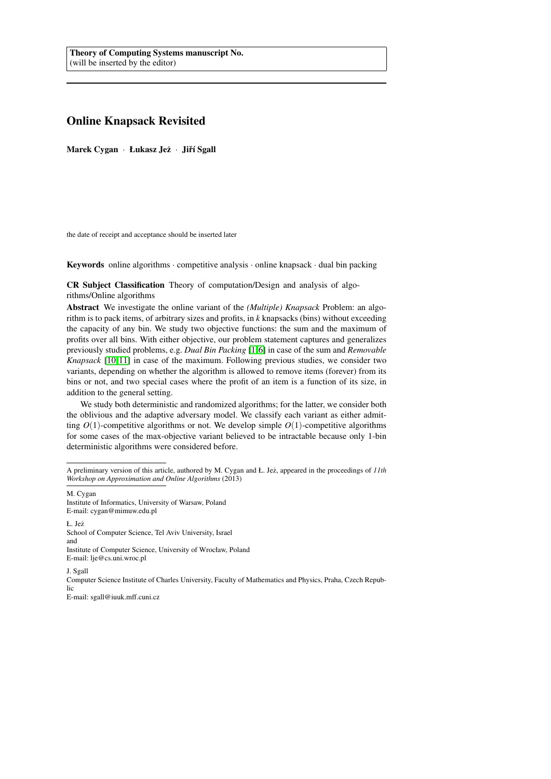# Online Knapsack Revisited

Marek Cygan · Łukasz Jeż · Jiří Sgall

the date of receipt and acceptance should be inserted later

Keywords online algorithms · competitive analysis · online knapsack · dual bin packing

CR Subject Classification Theory of computation/Design and analysis of algorithms/Online algorithms

Abstract We investigate the online variant of the *(Multiple) Knapsack* Problem: an algorithm is to pack items, of arbitrary sizes and profits, in *k* knapsacks (bins) without exceeding the capacity of any bin. We study two objective functions: the sum and the maximum of profits over all bins. With either objective, our problem statement captures and generalizes previously studied problems, e.g. *Dual Bin Packing* [\[1,](#page-32-0) [6\]](#page-32-1) in case of the sum and *Removable Knapsack* [\[10,](#page-32-2) [11\]](#page-32-3) in case of the maximum. Following previous studies, we consider two variants, depending on whether the algorithm is allowed to remove items (forever) from its bins or not, and two special cases where the profit of an item is a function of its size, in addition to the general setting.

We study both deterministic and randomized algorithms; for the latter, we consider both the oblivious and the adaptive adversary model. We classify each variant as either admitting  $O(1)$ -competitive algorithms or not. We develop simple  $O(1)$ -competitive algorithms for some cases of the max-objective variant believed to be intractable because only 1-bin deterministic algorithms were considered before.

M. Cygan Institute of Informatics, University of Warsaw, Poland E-mail: cygan@mimuw.edu.pl

Ł. Jez˙ School of Computer Science, Tel Aviv University, Israel and Institute of Computer Science, University of Wrocław, Poland E-mail: lje@cs.uni.wroc.pl

J. Sgall

Computer Science Institute of Charles University, Faculty of Mathematics and Physics, Praha, Czech Republic

E-mail: sgall@iuuk.mff.cuni.cz

A preliminary version of this article, authored by M. Cygan and Ł. Jez, appeared in the proceedings of ˙ *11th Workshop on Approximation and Online Algorithms* (2013)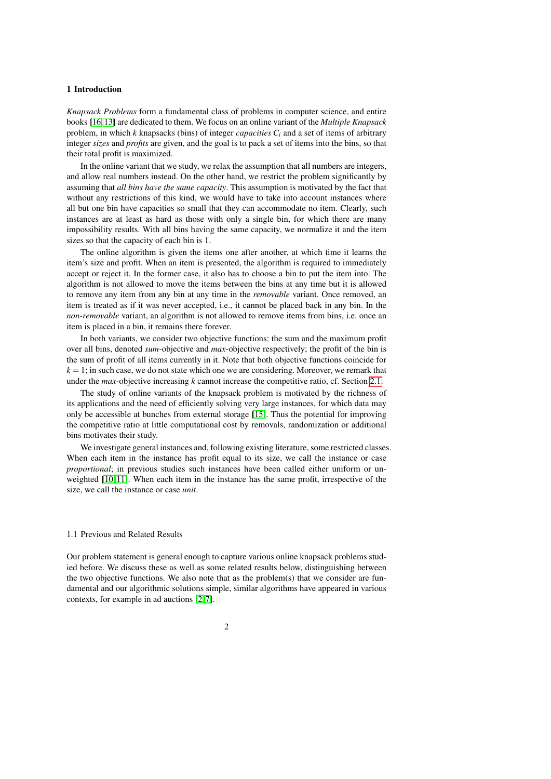## 1 Introduction

*Knapsack Problems* form a fundamental class of problems in computer science, and entire books [\[16,](#page-32-4) [13\]](#page-32-5) are dedicated to them. We focus on an online variant of the *Multiple Knapsack* problem, in which *k* knapsacks (bins) of integer *capacities C<sup>i</sup>* and a set of items of arbitrary integer *sizes* and *profits* are given, and the goal is to pack a set of items into the bins, so that their total profit is maximized.

In the online variant that we study, we relax the assumption that all numbers are integers, and allow real numbers instead. On the other hand, we restrict the problem significantly by assuming that *all bins have the same capacity*. This assumption is motivated by the fact that without any restrictions of this kind, we would have to take into account instances where all but one bin have capacities so small that they can accommodate no item. Clearly, such instances are at least as hard as those with only a single bin, for which there are many impossibility results. With all bins having the same capacity, we normalize it and the item sizes so that the capacity of each bin is 1.

The online algorithm is given the items one after another, at which time it learns the item's size and profit. When an item is presented, the algorithm is required to immediately accept or reject it. In the former case, it also has to choose a bin to put the item into. The algorithm is not allowed to move the items between the bins at any time but it is allowed to remove any item from any bin at any time in the *removable* variant. Once removed, an item is treated as if it was never accepted, i.e., it cannot be placed back in any bin. In the *non-removable* variant, an algorithm is not allowed to remove items from bins, i.e. once an item is placed in a bin, it remains there forever.

In both variants, we consider two objective functions: the sum and the maximum profit over all bins, denoted *sum*-objective and *max*-objective respectively; the profit of the bin is the sum of profit of all items currently in it. Note that both objective functions coincide for  $k = 1$ ; in such case, we do not state which one we are considering. Moreover, we remark that under the *max*-objective increasing *k* cannot increase the competitive ratio, cf. Section [2.1.](#page-3-0)

The study of online variants of the knapsack problem is motivated by the richness of its applications and the need of efficiently solving very large instances, for which data may only be accessible at bunches from external storage [\[15\]](#page-32-6). Thus the potential for improving the competitive ratio at little computational cost by removals, randomization or additional bins motivates their study.

We investigate general instances and, following existing literature, some restricted classes. When each item in the instance has profit equal to its size, we call the instance or case *proportional*; in previous studies such instances have been called either uniform or unweighted [\[10,](#page-32-2) [11\]](#page-32-3). When each item in the instance has the same profit, irrespective of the size, we call the instance or case *unit*.

## 1.1 Previous and Related Results

Our problem statement is general enough to capture various online knapsack problems studied before. We discuss these as well as some related results below, distinguishing between the two objective functions. We also note that as the problem(s) that we consider are fundamental and our algorithmic solutions simple, similar algorithms have appeared in various contexts, for example in ad auctions [\[2,](#page-32-7) [7\]](#page-32-8).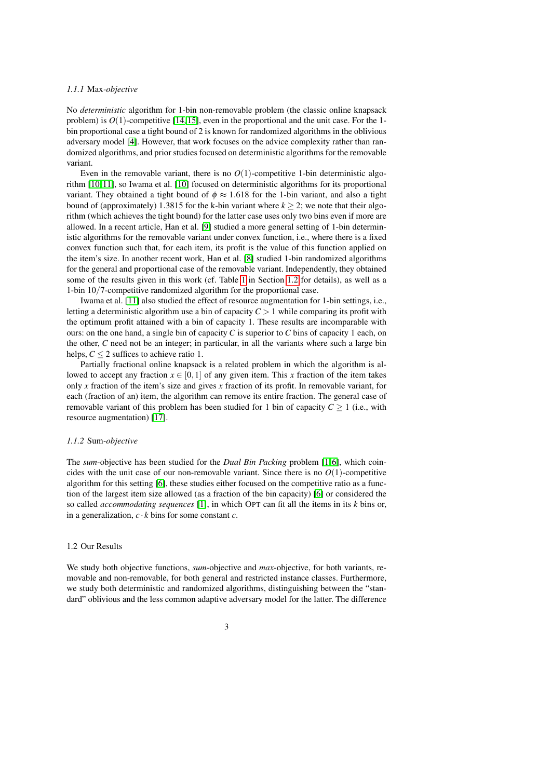#### *1.1.1* Max*-objective*

No *deterministic* algorithm for 1-bin non-removable problem (the classic online knapsack problem) is  $O(1)$ -competitive [\[14,](#page-32-9) [15\]](#page-32-6), even in the proportional and the unit case. For the 1bin proportional case a tight bound of 2 is known for randomized algorithms in the oblivious adversary model [\[4\]](#page-32-10). However, that work focuses on the advice complexity rather than randomized algorithms, and prior studies focused on deterministic algorithms for the removable variant.

Even in the removable variant, there is no  $O(1)$ -competitive 1-bin deterministic algorithm [\[10,](#page-32-2) [11\]](#page-32-3), so Iwama et al. [\[10\]](#page-32-2) focused on deterministic algorithms for its proportional variant. They obtained a tight bound of  $\phi \approx 1.618$  for the 1-bin variant, and also a tight bound of (approximately) 1.3815 for the k-bin variant where  $k > 2$ ; we note that their algorithm (which achieves the tight bound) for the latter case uses only two bins even if more are allowed. In a recent article, Han et al. [\[9\]](#page-32-11) studied a more general setting of 1-bin deterministic algorithms for the removable variant under convex function, i.e., where there is a fixed convex function such that, for each item, its profit is the value of this function applied on the item's size. In another recent work, Han et al. [\[8\]](#page-32-12) studied 1-bin randomized algorithms for the general and proportional case of the removable variant. Independently, they obtained some of the results given in this work (cf. Table [1](#page-4-0) in Section [1.2](#page-2-0) for details), as well as a 1-bin 10/7-competitive randomized algorithm for the proportional case.

Iwama et al. [\[11\]](#page-32-3) also studied the effect of resource augmentation for 1-bin settings, i.e., letting a deterministic algorithm use a bin of capacity  $C > 1$  while comparing its profit with the optimum profit attained with a bin of capacity 1. These results are incomparable with ours: on the one hand, a single bin of capacity *C* is superior to *C* bins of capacity 1 each, on the other, *C* need not be an integer; in particular, in all the variants where such a large bin helps,  $C \leq 2$  suffices to achieve ratio 1.

Partially fractional online knapsack is a related problem in which the algorithm is allowed to accept any fraction  $x \in [0,1]$  of any given item. This *x* fraction of the item takes only *x* fraction of the item's size and gives *x* fraction of its profit. In removable variant, for each (fraction of an) item, the algorithm can remove its entire fraction. The general case of removable variant of this problem has been studied for 1 bin of capacity  $C \ge 1$  (i.e., with resource augmentation) [\[17\]](#page-32-13).

## *1.1.2* Sum*-objective*

The *sum*-objective has been studied for the *Dual Bin Packing* problem [\[1,](#page-32-0) [6\]](#page-32-1), which coincides with the unit case of our non-removable variant. Since there is no  $O(1)$ -competitive algorithm for this setting [\[6\]](#page-32-1), these studies either focused on the competitive ratio as a function of the largest item size allowed (as a fraction of the bin capacity) [\[6\]](#page-32-1) or considered the so called *accommodating sequences* [\[1\]](#page-32-0), in which OPT can fit all the items in its *k* bins or, in a generalization,  $c \cdot k$  bins for some constant  $c$ .

#### <span id="page-2-0"></span>1.2 Our Results

We study both objective functions, *sum*-objective and *max*-objective, for both variants, removable and non-removable, for both general and restricted instance classes. Furthermore, we study both deterministic and randomized algorithms, distinguishing between the "standard" oblivious and the less common adaptive adversary model for the latter. The difference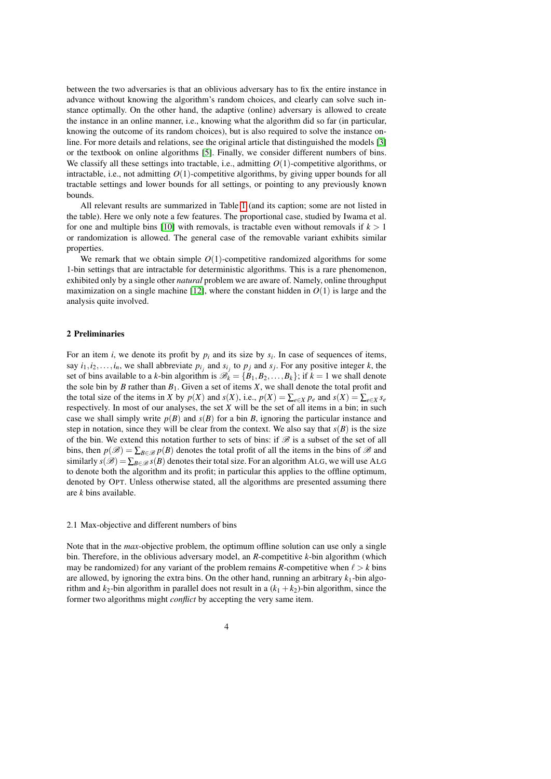between the two adversaries is that an oblivious adversary has to fix the entire instance in advance without knowing the algorithm's random choices, and clearly can solve such instance optimally. On the other hand, the adaptive (online) adversary is allowed to create the instance in an online manner, i.e., knowing what the algorithm did so far (in particular, knowing the outcome of its random choices), but is also required to solve the instance online. For more details and relations, see the original article that distinguished the models [\[3\]](#page-32-14) or the textbook on online algorithms [\[5\]](#page-32-15). Finally, we consider different numbers of bins. We classify all these settings into tractable, i.e., admitting  $O(1)$ -competitive algorithms, or intractable, i.e., not admitting  $O(1)$ -competitive algorithms, by giving upper bounds for all tractable settings and lower bounds for all settings, or pointing to any previously known bounds.

All relevant results are summarized in Table [1](#page-4-0) (and its caption; some are not listed in the table). Here we only note a few features. The proportional case, studied by Iwama et al. for one and multiple bins [\[10\]](#page-32-2) with removals, is tractable even without removals if  $k > 1$ or randomization is allowed. The general case of the removable variant exhibits similar properties.

We remark that we obtain simple  $O(1)$ -competitive randomized algorithms for some 1-bin settings that are intractable for deterministic algorithms. This is a rare phenomenon, exhibited only by a single other *natural* problem we are aware of. Namely, online throughput maximization on a single machine [\[12\]](#page-32-16), where the constant hidden in  $O(1)$  is large and the analysis quite involved.

### 2 Preliminaries

For an item *i*, we denote its profit by  $p_i$  and its size by  $s_i$ . In case of sequences of items, say  $i_1, i_2, \ldots, i_n$ , we shall abbreviate  $p_{i_j}$  and  $s_{i_j}$  to  $p_j$  and  $s_j$ . For any positive integer  $k$ , the set of bins available to a *k*-bin algorithm is  $\mathcal{B}_k = \{B_1, B_2, \ldots, B_k\}$ ; if  $k = 1$  we shall denote the sole bin by  $B$  rather than  $B_1$ . Given a set of items  $X$ , we shall denote the total profit and the total size of the items in *X* by  $p(X)$  and  $s(X)$ , i.e.,  $p(X) = \sum_{e \in X} p_e$  and  $s(X) = \sum_{e \in X} s_e$ respectively. In most of our analyses, the set *X* will be the set of all items in a bin; in such case we shall simply write  $p(B)$  and  $s(B)$  for a bin *B*, ignoring the particular instance and step in notation, since they will be clear from the context. We also say that  $s(B)$  is the size of the bin. We extend this notation further to sets of bins: if  $\mathcal{B}$  is a subset of the set of all bins, then  $p(\mathscr{B}) = \sum_{B \in \mathscr{B}} p(B)$  denotes the total profit of all the items in the bins of  $\mathscr{B}$  and similarly  $s(\mathscr{B}) = \sum_{B \in \mathscr{B}} s(B)$  denotes their total size. For an algorithm ALG, we will use ALG to denote both the algorithm and its profit; in particular this applies to the offline optimum, denoted by OPT. Unless otherwise stated, all the algorithms are presented assuming there are *k* bins available.

### <span id="page-3-0"></span>2.1 Max-objective and different numbers of bins

Note that in the *max*-objective problem, the optimum offline solution can use only a single bin. Therefore, in the oblivious adversary model, an *R*-competitive *k*-bin algorithm (which may be randomized) for any variant of the problem remains *R*-competitive when  $\ell > k$  bins are allowed, by ignoring the extra bins. On the other hand, running an arbitrary  $k_1$ -bin algorithm and  $k_2$ -bin algorithm in parallel does not result in a  $(k_1 + k_2)$ -bin algorithm, since the former two algorithms might *conflict* by accepting the very same item.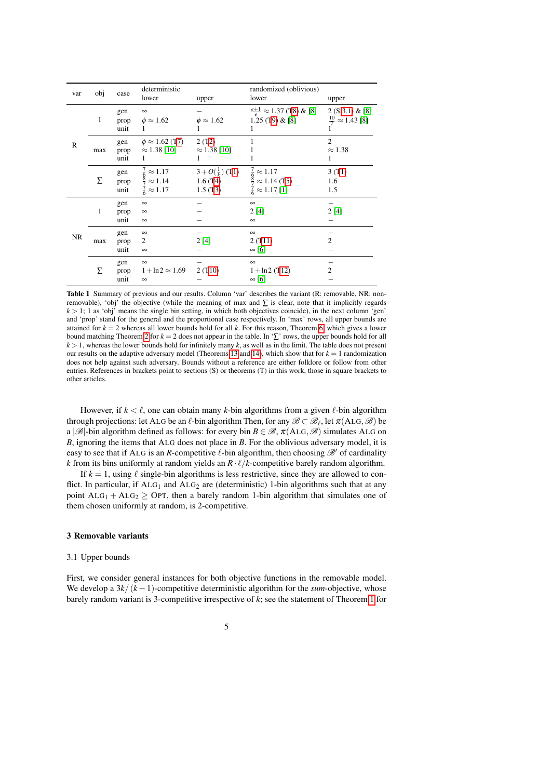| var          | obj | case                | deterministic<br>lower                                                                 | upper                                         | randomized (oblivious)<br>lower                                                                 | upper                                 |
|--------------|-----|---------------------|----------------------------------------------------------------------------------------|-----------------------------------------------|-------------------------------------------------------------------------------------------------|---------------------------------------|
| $\mathbb{R}$ | 1   | gen<br>prop<br>unit | $\infty$<br>$\phi \approx 1.62$                                                        | $\phi \approx 1.62$                           | $\frac{e+1}{e} \approx 1.37$ (T8) & [8] 2 (S 3.1) & [8]<br>$1.25$ (T9) & [8]                    | $\frac{10}{7} \approx 1.43$ [8]       |
|              | max | gen<br>prop<br>unit | $\phi \approx 1.62$ (T7)<br>$\approx$ 1.38 [10]<br>1                                   | 2(T2)<br>$\approx$ 1.38 [10]                  |                                                                                                 | $\overline{c}$<br>$\approx 1.38$<br>1 |
|              | Σ   | gen<br>prop<br>unit | $\frac{7}{8} \approx 1.17$<br>$\frac{8}{7} \approx 1.14$<br>$\frac{7}{6} \approx 1.17$ | $3+O(\frac{1}{k})$ (T1)<br>1.6(T4)<br>1.5(T3) | $\frac{7}{8} \approx 1.17$<br>$\frac{8}{7} \approx 1.14$ (T5)<br>$\frac{7}{6} \approx 1.17$ [1] | 3(T1)<br>1.6<br>1.5                   |
| <b>NR</b>    | 1   | gen<br>prop<br>unit | $\infty$<br>$\infty$<br>$\infty$                                                       |                                               | $\infty$<br>2[4]<br>$\infty$                                                                    | 2[4]                                  |
|              | max | gen<br>prop<br>unit | $\infty$<br>2<br>$\infty$                                                              | 2[4]                                          | $\infty$<br>2(T11)<br>$\infty$ [6]                                                              | 2                                     |
|              | Σ   | gen<br>prop<br>unit | $\infty$<br>$1 + \ln 2 \approx 1.69$<br>$\infty$                                       | 2(T10)                                        | $\infty$<br>$1 + \ln 2$ (T12)<br>$\infty$ [6]                                                   | $\overline{c}$                        |

<span id="page-4-0"></span>Table 1 Summary of previous and our results. Column 'var' describes the variant (R: removable, NR: nonremovable), 'obj' the objective (while the meaning of max and  $\Sigma$  is clear, note that it implicitly regards  $k > 1$ ; 1 as 'obj' means the single bin setting, in which both objectives coincide), in the next column 'gen' and 'prop' stand for the general and the proportional case respectively. In 'max' rows, all upper bounds are attained for *k* = 2 whereas all lower bounds hold for all *k*. For this reason, Theorem [6,](#page-24-1) which gives a lower bound matching Theorem [2](#page-6-0) for  $k = 2$  does not appear in the table. In ' $\Sigma$ ' rows, the upper bounds hold for all  $k > 1$ , whereas the lower bounds hold for infinitely many  $k$ , as well as in the limit. The table does not present our results on the adaptive adversary model (Theorems [13](#page-29-0) and [14\)](#page-30-0), which show that for  $k = 1$  randomization does not help against such adversary. Bounds without a reference are either folklore or follow from other entries. References in brackets point to sections (S) or theorems (T) in this work, those in square brackets to other articles.

However, if  $k < \ell$ , one can obtain many *k*-bin algorithms from a given  $\ell$ -bin algorithm through projections: let ALG be an  $\ell$ -bin algorithm Then, for any  $\mathscr{B} \subset \mathscr{B}_{\ell}$ , let  $\pi(ALG,\mathscr{B})$  be a |B|-bin algorithm defined as follows: for every bin  $B \in \mathcal{B}$ ,  $\pi(A \cup B \cup \mathcal{B})$  simulates ALG on *B*, ignoring the items that ALG does not place in *B*. For the oblivious adversary model, it is easy to see that if ALG is an *R*-competitive  $\ell$ -bin algorithm, then choosing  $\mathcal{B}'$  of cardinality *k* from its bins uniformly at random yields an  $R \cdot \ell/k$ -competitive barely random algorithm.

If  $k = 1$ , using  $\ell$  single-bin algorithms is less restrictive, since they are allowed to conflict. In particular, if  $ALG_1$  and  $ALG_2$  are (deterministic) 1-bin algorithms such that at any point  $ALG_1 + ALG_2 \geq OPT$ , then a barely random 1-bin algorithm that simulates one of them chosen uniformly at random, is 2-competitive.

### 3 Removable variants

#### <span id="page-4-1"></span>3.1 Upper bounds

First, we consider general instances for both objective functions in the removable model. We develop a  $3k/(k-1)$ -competitive deterministic algorithm for the *sum*-objective, whose barely random variant is 3-competitive irrespective of *k*; see the statement of Theorem [1](#page-6-1) for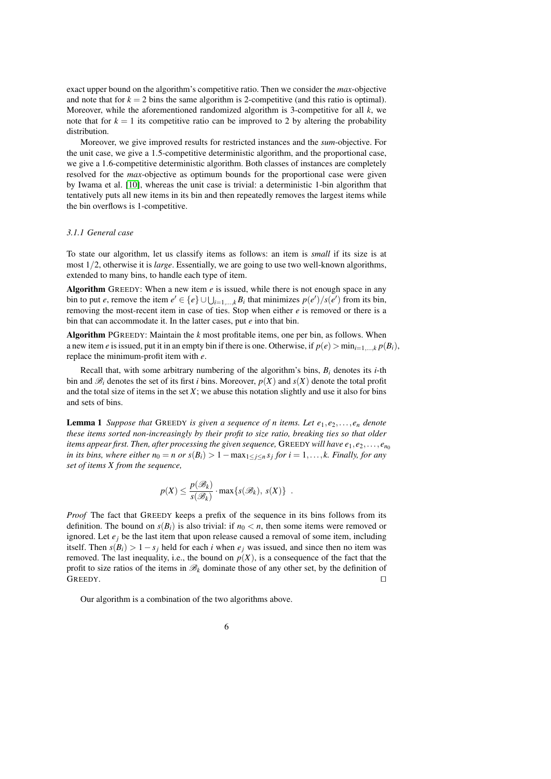exact upper bound on the algorithm's competitive ratio. Then we consider the *max*-objective and note that for  $k = 2$  bins the same algorithm is 2-competitive (and this ratio is optimal). Moreover, while the aforementioned randomized algorithm is 3-competitive for all  $k$ , we note that for  $k = 1$  its competitive ratio can be improved to 2 by altering the probability distribution.

Moreover, we give improved results for restricted instances and the *sum*-objective. For the unit case, we give a 1.5-competitive deterministic algorithm, and the proportional case, we give a 1.6-competitive deterministic algorithm. Both classes of instances are completely resolved for the *max*-objective as optimum bounds for the proportional case were given by Iwama et al. [\[10\]](#page-32-2), whereas the unit case is trivial: a deterministic 1-bin algorithm that tentatively puts all new items in its bin and then repeatedly removes the largest items while the bin overflows is 1-competitive.

### *3.1.1 General case*

To state our algorithm, let us classify items as follows: an item is *small* if its size is at most 1/2, otherwise it is *large*. Essentially, we are going to use two well-known algorithms, extended to many bins, to handle each type of item.

Algorithm GREEDY: When a new item *e* is issued, while there is not enough space in any bin to put *e*, remove the item  $e' \in \{e\} \cup \bigcup_{i=1,\dots,k} B_i$  that minimizes  $p(e')/s(e')$  from its bin, removing the most-recent item in case of ties. Stop when either *e* is removed or there is a bin that can accommodate it. In the latter cases, put *e* into that bin.

Algorithm PGREEDY: Maintain the *k* most profitable items, one per bin, as follows. When a new item *e* is issued, put it in an empty bin if there is one. Otherwise, if  $p(e) > min_{i=1,\dots,k} p(B_i)$ , replace the minimum-profit item with *e*.

Recall that, with some arbitrary numbering of the algorithm's bins,  $B_i$  denotes its *i*-th bin and  $\mathcal{B}_i$  denotes the set of its first *i* bins. Moreover,  $p(X)$  and  $s(X)$  denote the total profit and the total size of items in the set *X*; we abuse this notation slightly and use it also for bins and sets of bins.

<span id="page-5-0"></span>**Lemma 1** *Suppose that* GREEDY *is given a sequence of n items. Let*  $e_1, e_2, \ldots, e_n$  *denote these items sorted non-increasingly by their profit to size ratio, breaking ties so that older items appear first. Then, after processing the given sequence, GREEDY will have*  $e_1, e_2, \ldots, e_{n_0}$ *in its bins, where either*  $n_0 = n$  *or*  $s(B_i) > 1 - \max_{1 \leq j \leq n} s_j$  *for*  $i = 1, \ldots, k$ *. Finally, for any set of items X from the sequence,*

$$
p(X) \leq \frac{p(\mathcal{B}_k)}{s(\mathcal{B}_k)} \cdot \max\{s(\mathcal{B}_k), s(X)\} .
$$

*Proof* The fact that GREEDY keeps a prefix of the sequence in its bins follows from its definition. The bound on  $s(B_i)$  is also trivial: if  $n_0 < n$ , then some items were removed or ignored. Let  $e_i$  be the last item that upon release caused a removal of some item, including itself. Then  $s(B_i) > 1 - s_i$  held for each *i* when  $e_i$  was issued, and since then no item was removed. The last inequality, i.e., the bound on  $p(X)$ , is a consequence of the fact that the profit to size ratios of the items in  $\mathcal{B}_k$  dominate those of any other set, by the definition of  $G$ REEDY.

Our algorithm is a combination of the two algorithms above.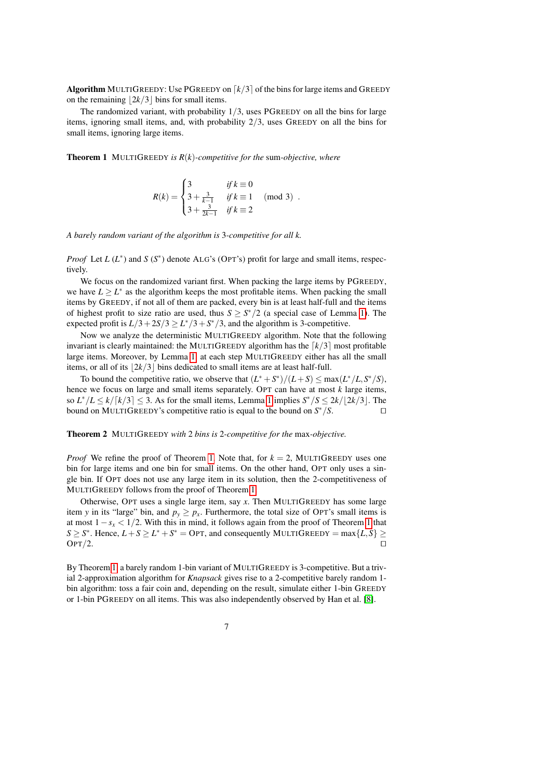Algorithm MULTIGREEDY: Use PGREEDY on  $\lceil k/3 \rceil$  of the bins for large items and GREEDY on the remaining  $\left| 2k/3 \right|$  bins for small items.

The randomized variant, with probability  $1/3$ , uses PGREEDY on all the bins for large items, ignoring small items, and, with probability 2/3, uses GREEDY on all the bins for small items, ignoring large items.

<span id="page-6-1"></span>Theorem 1 MULTIGREEDY *is R*(*k*)*-competitive for the* sum*-objective, where*

$$
R(k) = \begin{cases} 3 & \text{if } k \equiv 0 \\ 3 + \frac{3}{k-1} & \text{if } k \equiv 1 \quad \pmod{3} \\ 3 + \frac{3}{2k-1} & \text{if } k \equiv 2 \end{cases}
$$

*A barely random variant of the algorithm is* 3*-competitive for all k.*

*Proof* Let  $L(L^*)$  and  $S(S^*)$  denote ALG's (OPT's) profit for large and small items, respectively.

We focus on the randomized variant first. When packing the large items by PGREEDY, we have  $L \geq L^*$  as the algorithm keeps the most profitable items. When packing the small items by GREEDY, if not all of them are packed, every bin is at least half-full and the items of highest profit to size ratio are used, thus  $S \geq S^*/2$  (a special case of Lemma [1\)](#page-5-0). The expected profit is  $L/3 + 2S/3 \ge L^*/3 + S^*/3$ , and the algorithm is 3-competitive.

Now we analyze the deterministic MULTIGREEDY algorithm. Note that the following invariant is clearly maintained: the MULTIGREEDY algorithm has the  $\lceil k/3 \rceil$  most profitable large items. Moreover, by Lemma [1,](#page-5-0) at each step MULTIGREEDY either has all the small items, or all of its  $\left| 2k/3 \right|$  bins dedicated to small items are at least half-full.

To bound the competitive ratio, we observe that  $(L^* + S^*)/(L + S) \le \max(L^*/L, S^*/S)$ , hence we focus on large and small items separately. OPT can have at most *k* large items, so  $L^*/L \le k/[k/3] \le 3$ . As for the small items, Lemma [1](#page-5-0) implies  $S^*/S \le 2k/[2k/3]$ . The bound on MULTIGREEDY's competitive ratio is equal to the bound on  $S^*/S$ .

<span id="page-6-0"></span>Theorem 2 MULTIGREEDY *with* 2 *bins is* 2*-competitive for the* max*-objective.*

*Proof* We refine the proof of Theorem [1.](#page-6-1) Note that, for  $k = 2$ , MULTIGREEDY uses one bin for large items and one bin for small items. On the other hand, OPT only uses a single bin. If OPT does not use any large item in its solution, then the 2-competitiveness of MULTIGREEDY follows from the proof of Theorem [1.](#page-6-1)

Otherwise, OPT uses a single large item, say *x*. Then MULTIGREEDY has some large item *y* in its "large" bin, and  $p_y \geq p_x$ . Furthermore, the total size of OPT's small items is at most 1−*s<sup>x</sup>* < 1/2. With this in mind, it follows again from the proof of Theorem [1](#page-6-1) that  $S \ge S^*$ . Hence,  $L + S \ge L^* + S^* = \text{OPT}$ , and consequently MULTIGREEDY = max $\{L, S\} \ge$  $\text{OPT}/2.$ 

By Theorem [1,](#page-6-1) a barely random 1-bin variant of MULTIGREEDY is 3-competitive. But a trivial 2-approximation algorithm for *Knapsack* gives rise to a 2-competitive barely random 1 bin algorithm: toss a fair coin and, depending on the result, simulate either 1-bin GREEDY or 1-bin PGREEDY on all items. This was also independently observed by Han et al. [\[8\]](#page-32-12).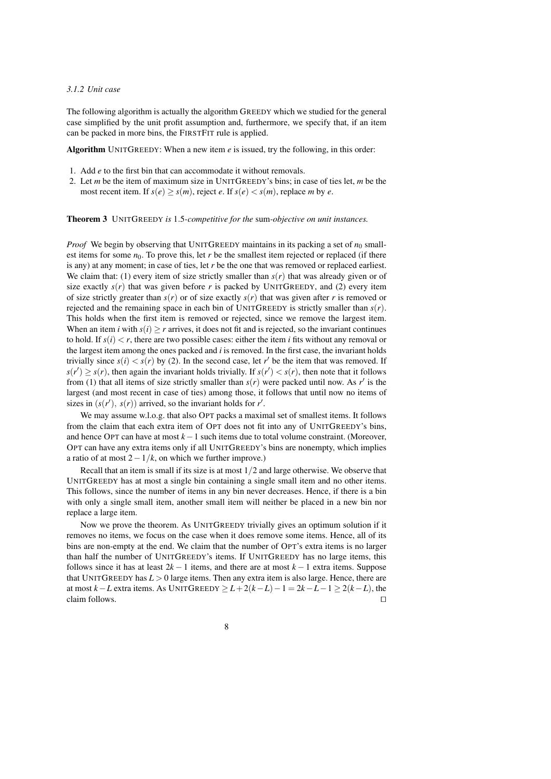## *3.1.2 Unit case*

The following algorithm is actually the algorithm GREEDY which we studied for the general case simplified by the unit profit assumption and, furthermore, we specify that, if an item can be packed in more bins, the FIRSTFIT rule is applied.

Algorithm UNITGREEDY: When a new item *e* is issued, try the following, in this order:

- 1. Add *e* to the first bin that can accommodate it without removals.
- 2. Let *m* be the item of maximum size in UNITGREEDY's bins; in case of ties let, *m* be the most recent item. If  $s(e) \geq s(m)$ , reject *e*. If  $s(e) < s(m)$ , replace *m* by *e*.

<span id="page-7-0"></span>Theorem 3 UNITGREEDY *is* 1.5*-competitive for the* sum*-objective on unit instances.*

*Proof* We begin by observing that UNITGREEDY maintains in its packing a set of  $n_0$  smallest items for some  $n_0$ . To prove this, let r be the smallest item rejected or replaced (if there is any) at any moment; in case of ties, let *r* be the one that was removed or replaced earliest. We claim that: (1) every item of size strictly smaller than  $s(r)$  that was already given or of size exactly  $s(r)$  that was given before *r* is packed by UNITGREEDY, and (2) every item of size strictly greater than  $s(r)$  or of size exactly  $s(r)$  that was given after *r* is removed or rejected and the remaining space in each bin of UNITGREEDY is strictly smaller than *s*(*r*). This holds when the first item is removed or rejected, since we remove the largest item. When an item *i* with  $s(i) \geq r$  arrives, it does not fit and is rejected, so the invariant continues to hold. If  $s(i) < r$ , there are two possible cases: either the item *i* fits without any removal or the largest item among the ones packed and *i* is removed. In the first case, the invariant holds trivially since  $s(i) < s(r)$  by (2). In the second case, let r' be the item that was removed. If  $s(r') \geq s(r)$ , then again the invariant holds trivially. If  $s(r') < s(r)$ , then note that it follows from (1) that all items of size strictly smaller than  $s(r)$  were packed until now. As  $r'$  is the largest (and most recent in case of ties) among those, it follows that until now no items of sizes in  $(s(r'), s(r))$  arrived, so the invariant holds for *r'*.

We may assume w.l.o.g. that also OPT packs a maximal set of smallest items. It follows from the claim that each extra item of OPT does not fit into any of UNITGREEDY's bins, and hence OPT can have at most *k*−1 such items due to total volume constraint. (Moreover, OPT can have any extra items only if all UNITGREEDY's bins are nonempty, which implies a ratio of at most  $2 - 1/k$ , on which we further improve.)

Recall that an item is small if its size is at most 1/2 and large otherwise. We observe that UNITGREEDY has at most a single bin containing a single small item and no other items. This follows, since the number of items in any bin never decreases. Hence, if there is a bin with only a single small item, another small item will neither be placed in a new bin nor replace a large item.

Now we prove the theorem. As UNITGREEDY trivially gives an optimum solution if it removes no items, we focus on the case when it does remove some items. Hence, all of its bins are non-empty at the end. We claim that the number of OPT's extra items is no larger than half the number of UNITGREEDY's items. If UNITGREEDY has no large items, this follows since it has at least  $2k - 1$  items, and there are at most  $k - 1$  extra items. Suppose that UNITGREEDY has  $L > 0$  large items. Then any extra item is also large. Hence, there are at most *k*−*L* extra items. As UNITGREEDY  $\geq L + 2(k - L) - 1 = 2k - L - 1 \geq 2(k - L)$ , the claim follows.  $\Box$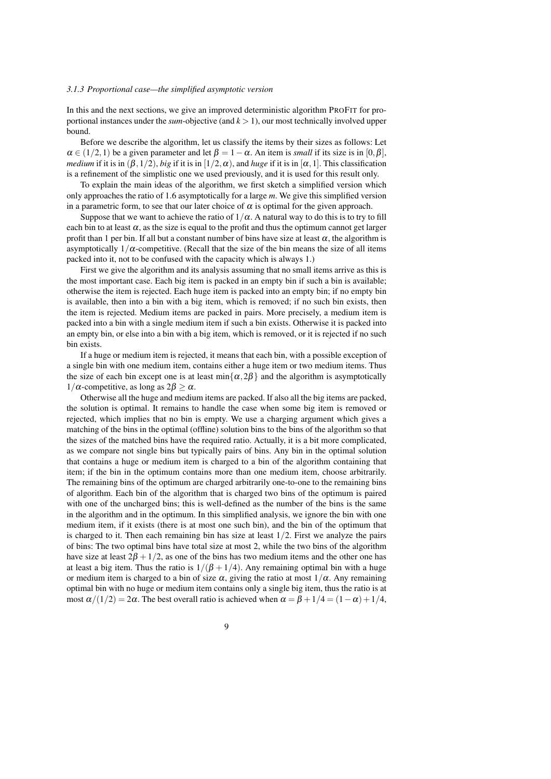#### *3.1.3 Proportional case—the simplified asymptotic version*

In this and the next sections, we give an improved deterministic algorithm PROFIT for proportional instances under the *sum*-objective (and  $k > 1$ ), our most technically involved upper bound.

Before we describe the algorithm, let us classify the items by their sizes as follows: Let  $\alpha \in (1/2, 1)$  be a given parameter and let  $\beta = 1 - \alpha$ . An item is *small* if its size is in [0,  $\beta$ ], *medium* if it is in  $(\beta, 1/2)$ , *big* if it is in  $(1/2, \alpha)$ , and *huge* if it is in  $[\alpha, 1]$ . This classification is a refinement of the simplistic one we used previously, and it is used for this result only.

To explain the main ideas of the algorithm, we first sketch a simplified version which only approaches the ratio of 1.6 asymptotically for a large *m*. We give this simplified version in a parametric form, to see that our later choice of  $\alpha$  is optimal for the given approach.

Suppose that we want to achieve the ratio of  $1/\alpha$ . A natural way to do this is to try to fill each bin to at least  $\alpha$ , as the size is equal to the profit and thus the optimum cannot get larger profit than 1 per bin. If all but a constant number of bins have size at least  $\alpha$ , the algorithm is asymptotically  $1/α$ -competitive. (Recall that the size of the bin means the size of all items packed into it, not to be confused with the capacity which is always 1.)

First we give the algorithm and its analysis assuming that no small items arrive as this is the most important case. Each big item is packed in an empty bin if such a bin is available; otherwise the item is rejected. Each huge item is packed into an empty bin; if no empty bin is available, then into a bin with a big item, which is removed; if no such bin exists, then the item is rejected. Medium items are packed in pairs. More precisely, a medium item is packed into a bin with a single medium item if such a bin exists. Otherwise it is packed into an empty bin, or else into a bin with a big item, which is removed, or it is rejected if no such bin exists.

If a huge or medium item is rejected, it means that each bin, with a possible exception of a single bin with one medium item, contains either a huge item or two medium items. Thus the size of each bin except one is at least min $\{\alpha, 2\beta\}$  and the algorithm is asymptotically  $1/\alpha$ -competitive, as long as  $2\beta > \alpha$ .

Otherwise all the huge and medium items are packed. If also all the big items are packed, the solution is optimal. It remains to handle the case when some big item is removed or rejected, which implies that no bin is empty. We use a charging argument which gives a matching of the bins in the optimal (offline) solution bins to the bins of the algorithm so that the sizes of the matched bins have the required ratio. Actually, it is a bit more complicated, as we compare not single bins but typically pairs of bins. Any bin in the optimal solution that contains a huge or medium item is charged to a bin of the algorithm containing that item; if the bin in the optimum contains more than one medium item, choose arbitrarily. The remaining bins of the optimum are charged arbitrarily one-to-one to the remaining bins of algorithm. Each bin of the algorithm that is charged two bins of the optimum is paired with one of the uncharged bins; this is well-defined as the number of the bins is the same in the algorithm and in the optimum. In this simplified analysis, we ignore the bin with one medium item, if it exists (there is at most one such bin), and the bin of the optimum that is charged to it. Then each remaining bin has size at least  $1/2$ . First we analyze the pairs of bins: The two optimal bins have total size at most 2, while the two bins of the algorithm have size at least  $2\beta + 1/2$ , as one of the bins has two medium items and the other one has at least a big item. Thus the ratio is  $1/(\beta + 1/4)$ . Any remaining optimal bin with a huge or medium item is charged to a bin of size  $\alpha$ , giving the ratio at most  $1/\alpha$ . Any remaining optimal bin with no huge or medium item contains only a single big item, thus the ratio is at most  $\alpha/(1/2) = 2\alpha$ . The best overall ratio is achieved when  $\alpha = \beta + 1/4 = (1 - \alpha) + 1/4$ ,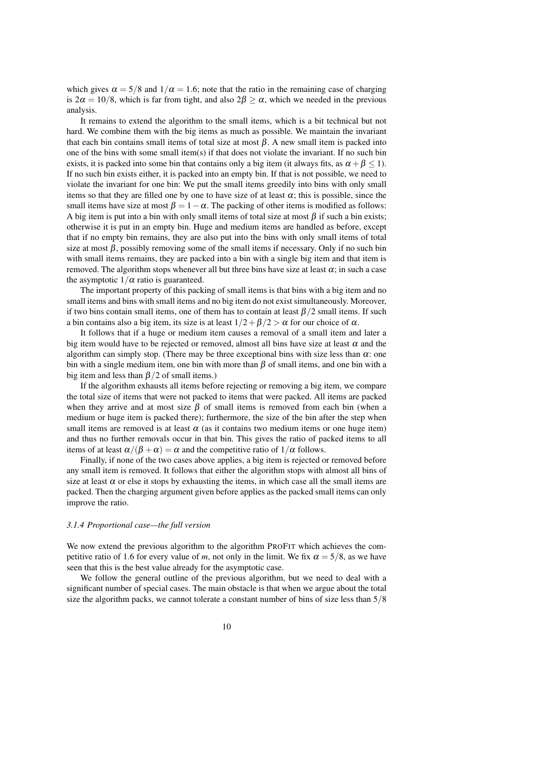which gives  $\alpha = 5/8$  and  $1/\alpha = 1.6$ ; note that the ratio in the remaining case of charging is  $2\alpha = 10/8$ , which is far from tight, and also  $2\beta \ge \alpha$ , which we needed in the previous analysis.

It remains to extend the algorithm to the small items, which is a bit technical but not hard. We combine them with the big items as much as possible. We maintain the invariant that each bin contains small items of total size at most  $β$ . A new small item is packed into one of the bins with some small item(s) if that does not violate the invariant. If no such bin exists, it is packed into some bin that contains only a big item (it always fits, as  $\alpha + \beta \le 1$ ). If no such bin exists either, it is packed into an empty bin. If that is not possible, we need to violate the invariant for one bin: We put the small items greedily into bins with only small items so that they are filled one by one to have size of at least  $\alpha$ ; this is possible, since the small items have size at most  $\beta = 1 - \alpha$ . The packing of other items is modified as follows: A big item is put into a bin with only small items of total size at most  $\beta$  if such a bin exists; otherwise it is put in an empty bin. Huge and medium items are handled as before, except that if no empty bin remains, they are also put into the bins with only small items of total size at most  $\beta$ , possibly removing some of the small items if necessary. Only if no such bin with small items remains, they are packed into a bin with a single big item and that item is removed. The algorithm stops whenever all but three bins have size at least  $\alpha$ ; in such a case the asymptotic  $1/\alpha$  ratio is guaranteed.

The important property of this packing of small items is that bins with a big item and no small items and bins with small items and no big item do not exist simultaneously. Moreover, if two bins contain small items, one of them has to contain at least  $\beta/2$  small items. If such a bin contains also a big item, its size is at least  $1/2 + \beta/2 > \alpha$  for our choice of  $\alpha$ .

It follows that if a huge or medium item causes a removal of a small item and later a big item would have to be rejected or removed, almost all bins have size at least  $\alpha$  and the algorithm can simply stop. (There may be three exceptional bins with size less than  $\alpha$ : one bin with a single medium item, one bin with more than  $\beta$  of small items, and one bin with a big item and less than  $\beta/2$  of small items.)

If the algorithm exhausts all items before rejecting or removing a big item, we compare the total size of items that were not packed to items that were packed. All items are packed when they arrive and at most size  $\beta$  of small items is removed from each bin (when a medium or huge item is packed there); furthermore, the size of the bin after the step when small items are removed is at least  $\alpha$  (as it contains two medium items or one huge item) and thus no further removals occur in that bin. This gives the ratio of packed items to all items of at least  $\alpha/(\beta + \alpha) = \alpha$  and the competitive ratio of  $1/\alpha$  follows.

Finally, if none of the two cases above applies, a big item is rejected or removed before any small item is removed. It follows that either the algorithm stops with almost all bins of size at least  $\alpha$  or else it stops by exhausting the items, in which case all the small items are packed. Then the charging argument given before applies as the packed small items can only improve the ratio.

### *3.1.4 Proportional case—the full version*

We now extend the previous algorithm to the algorithm PROFIT which achieves the competitive ratio of 1.6 for every value of *m*, not only in the limit. We fix  $\alpha = 5/8$ , as we have seen that this is the best value already for the asymptotic case.

We follow the general outline of the previous algorithm, but we need to deal with a significant number of special cases. The main obstacle is that when we argue about the total size the algorithm packs, we cannot tolerate a constant number of bins of size less than 5/8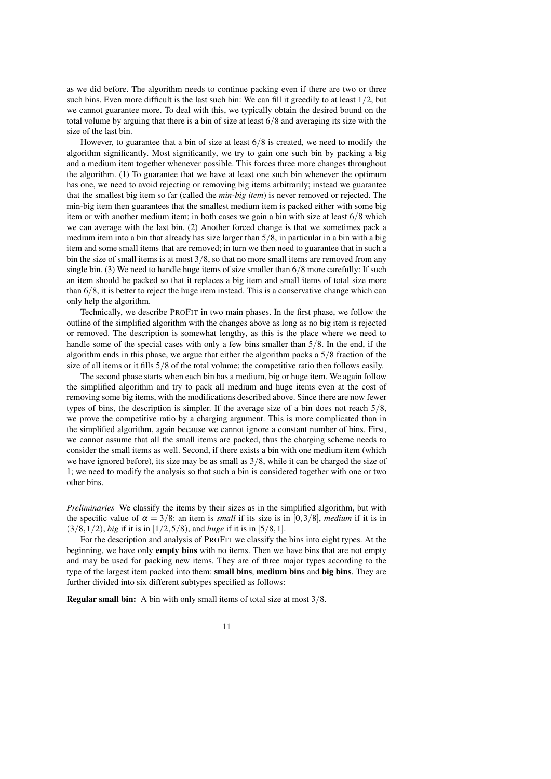as we did before. The algorithm needs to continue packing even if there are two or three such bins. Even more difficult is the last such bin: We can fill it greedily to at least 1/2, but we cannot guarantee more. To deal with this, we typically obtain the desired bound on the total volume by arguing that there is a bin of size at least 6/8 and averaging its size with the size of the last bin.

However, to guarantee that a bin of size at least  $6/8$  is created, we need to modify the algorithm significantly. Most significantly, we try to gain one such bin by packing a big and a medium item together whenever possible. This forces three more changes throughout the algorithm. (1) To guarantee that we have at least one such bin whenever the optimum has one, we need to avoid rejecting or removing big items arbitrarily; instead we guarantee that the smallest big item so far (called the *min-big item*) is never removed or rejected. The min-big item then guarantees that the smallest medium item is packed either with some big item or with another medium item; in both cases we gain a bin with size at least 6/8 which we can average with the last bin. (2) Another forced change is that we sometimes pack a medium item into a bin that already has size larger than  $5/8$ , in particular in a bin with a big item and some small items that are removed; in turn we then need to guarantee that in such a bin the size of small items is at most  $3/8$ , so that no more small items are removed from any single bin. (3) We need to handle huge items of size smaller than  $6/8$  more carefully: If such an item should be packed so that it replaces a big item and small items of total size more than 6/8, it is better to reject the huge item instead. This is a conservative change which can only help the algorithm.

Technically, we describe PROFIT in two main phases. In the first phase, we follow the outline of the simplified algorithm with the changes above as long as no big item is rejected or removed. The description is somewhat lengthy, as this is the place where we need to handle some of the special cases with only a few bins smaller than 5/8. In the end, if the algorithm ends in this phase, we argue that either the algorithm packs a 5/8 fraction of the size of all items or it fills  $5/8$  of the total volume; the competitive ratio then follows easily.

The second phase starts when each bin has a medium, big or huge item. We again follow the simplified algorithm and try to pack all medium and huge items even at the cost of removing some big items, with the modifications described above. Since there are now fewer types of bins, the description is simpler. If the average size of a bin does not reach 5/8, we prove the competitive ratio by a charging argument. This is more complicated than in the simplified algorithm, again because we cannot ignore a constant number of bins. First, we cannot assume that all the small items are packed, thus the charging scheme needs to consider the small items as well. Second, if there exists a bin with one medium item (which we have ignored before), its size may be as small as  $3/8$ , while it can be charged the size of 1; we need to modify the analysis so that such a bin is considered together with one or two other bins.

*Preliminaries* We classify the items by their sizes as in the simplified algorithm, but with the specific value of  $\alpha = 3/8$ : an item is *small* if its size is in [0,3/8], *medium* if it is in (3/8,1/2), *big* if it is in [1/2,5/8), and *huge* if it is in [5/8,1].

For the description and analysis of PROFIT we classify the bins into eight types. At the beginning, we have only **empty bins** with no items. Then we have bins that are not empty and may be used for packing new items. They are of three major types according to the type of the largest item packed into them: small bins, medium bins and big bins. They are further divided into six different subtypes specified as follows:

Regular small bin: A bin with only small items of total size at most 3/8.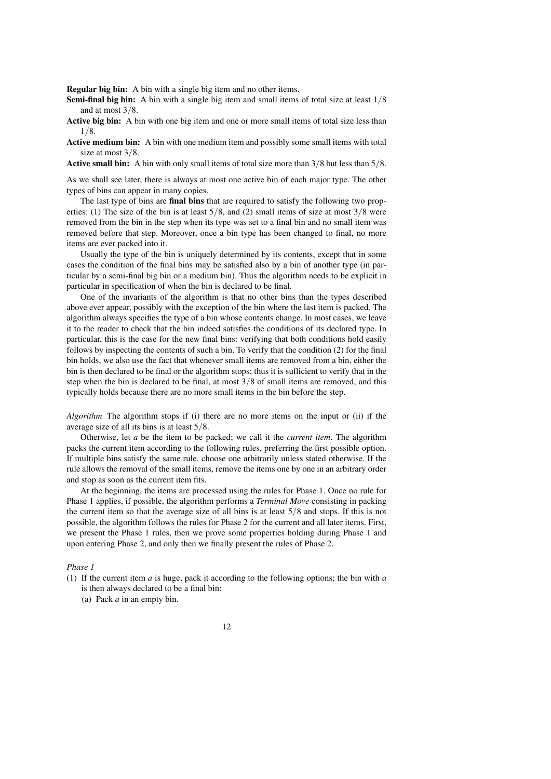Regular big bin: A bin with a single big item and no other items.

Semi-final big bin: A bin with a single big item and small items of total size at least  $1/8$ and at most 3/8.

Active big bin: A bin with one big item and one or more small items of total size less than 1/8.

Active medium bin: A bin with one medium item and possibly some small items with total size at most 3/8.

Active small bin: A bin with only small items of total size more than  $3/8$  but less than  $5/8$ .

As we shall see later, there is always at most one active bin of each major type. The other types of bins can appear in many copies.

The last type of bins are final bins that are required to satisfy the following two properties: (1) The size of the bin is at least  $5/8$ , and (2) small items of size at most  $3/8$  were removed from the bin in the step when its type was set to a final bin and no small item was removed before that step. Moreover, once a bin type has been changed to final, no more items are ever packed into it.

Usually the type of the bin is uniquely determined by its contents, except that in some cases the condition of the final bins may be satisfied also by a bin of another type (in particular by a semi-final big bin or a medium bin). Thus the algorithm needs to be explicit in particular in specification of when the bin is declared to be final.

One of the invariants of the algorithm is that no other bins than the types described above ever appear, possibly with the exception of the bin where the last item is packed. The algorithm always specifies the type of a bin whose contents change. In most cases, we leave it to the reader to check that the bin indeed satisfies the conditions of its declared type. In particular, this is the case for the new final bins: verifying that both conditions hold easily follows by inspecting the contents of such a bin. To verify that the condition (2) for the final bin holds, we also use the fact that whenever small items are removed from a bin, either the bin is then declared to be final or the algorithm stops; thus it is sufficient to verify that in the step when the bin is declared to be final, at most  $3/8$  of small items are removed, and this typically holds because there are no more small items in the bin before the step.

*Algorithm* The algorithm stops if (i) there are no more items on the input or (ii) if the average size of all its bins is at least 5/8.

Otherwise, let *a* be the item to be packed; we call it the *current item*. The algorithm packs the current item according to the following rules, preferring the first possible option. If multiple bins satisfy the same rule, choose one arbitrarily unless stated otherwise. If the rule allows the removal of the small items, remove the items one by one in an arbitrary order and stop as soon as the current item fits.

At the beginning, the items are processed using the rules for Phase 1. Once no rule for Phase 1 applies, if possible, the algorithm performs a *Terminal Move* consisting in packing the current item so that the average size of all bins is at least 5/8 and stops. If this is not possible, the algorithm follows the rules for Phase 2 for the current and all later items. First, we present the Phase 1 rules, then we prove some properties holding during Phase 1 and upon entering Phase 2, and only then we finally present the rules of Phase 2.

*Phase 1*

- (1) If the current item  $a$  is huge, pack it according to the following options; the bin with  $a$ is then always declared to be a final bin:
	- (a) Pack *a* in an empty bin.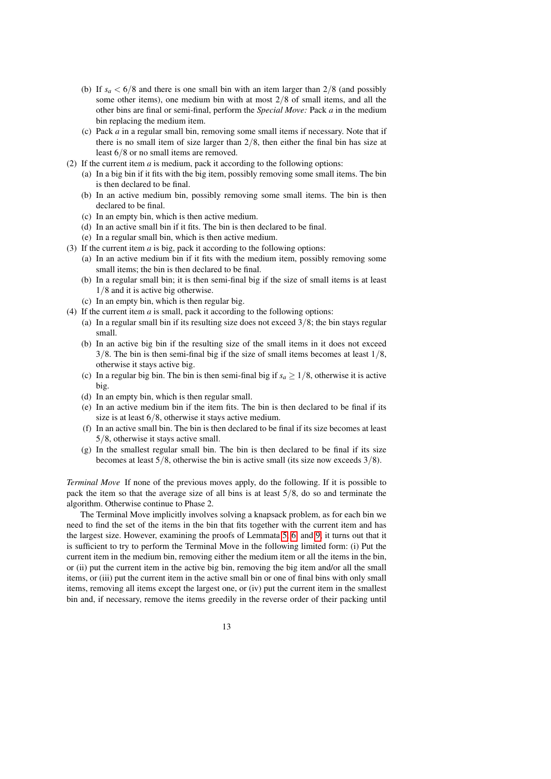- (b) If  $s_a < 6/8$  and there is one small bin with an item larger than 2/8 (and possibly some other items), one medium bin with at most 2/8 of small items, and all the other bins are final or semi-final, perform the *Special Move:* Pack *a* in the medium bin replacing the medium item.
- (c) Pack *a* in a regular small bin, removing some small items if necessary. Note that if there is no small item of size larger than 2/8, then either the final bin has size at least 6/8 or no small items are removed.
- (2) If the current item *a* is medium, pack it according to the following options:
	- (a) In a big bin if it fits with the big item, possibly removing some small items. The bin is then declared to be final.
	- (b) In an active medium bin, possibly removing some small items. The bin is then declared to be final.
	- (c) In an empty bin, which is then active medium.
	- (d) In an active small bin if it fits. The bin is then declared to be final.
	- (e) In a regular small bin, which is then active medium.
- (3) If the current item *a* is big, pack it according to the following options:
	- (a) In an active medium bin if it fits with the medium item, possibly removing some small items; the bin is then declared to be final.
	- (b) In a regular small bin; it is then semi-final big if the size of small items is at least 1/8 and it is active big otherwise.
	- (c) In an empty bin, which is then regular big.
- (4) If the current item *a* is small, pack it according to the following options:
	- (a) In a regular small bin if its resulting size does not exceed  $3/8$ ; the bin stays regular small.
	- (b) In an active big bin if the resulting size of the small items in it does not exceed  $3/8$ . The bin is then semi-final big if the size of small items becomes at least  $1/8$ , otherwise it stays active big.
	- (c) In a regular big bin. The bin is then semi-final big if  $s_a \geq 1/8$ , otherwise it is active big.
	- (d) In an empty bin, which is then regular small.
	- (e) In an active medium bin if the item fits. The bin is then declared to be final if its size is at least 6/8, otherwise it stays active medium.
	- (f) In an active small bin. The bin is then declared to be final if its size becomes at least 5/8, otherwise it stays active small.
	- (g) In the smallest regular small bin. The bin is then declared to be final if its size becomes at least 5/8, otherwise the bin is active small (its size now exceeds 3/8).

*Terminal Move* If none of the previous moves apply, do the following. If it is possible to pack the item so that the average size of all bins is at least  $5/8$ , do so and terminate the algorithm. Otherwise continue to Phase 2.

The Terminal Move implicitly involves solving a knapsack problem, as for each bin we need to find the set of the items in the bin that fits together with the current item and has the largest size. However, examining the proofs of Lemmata [5,](#page-14-0) [6,](#page-16-0) and [9,](#page-19-1) it turns out that it is sufficient to try to perform the Terminal Move in the following limited form: (i) Put the current item in the medium bin, removing either the medium item or all the items in the bin, or (ii) put the current item in the active big bin, removing the big item and/or all the small items, or (iii) put the current item in the active small bin or one of final bins with only small items, removing all items except the largest one, or (iv) put the current item in the smallest bin and, if necessary, remove the items greedily in the reverse order of their packing until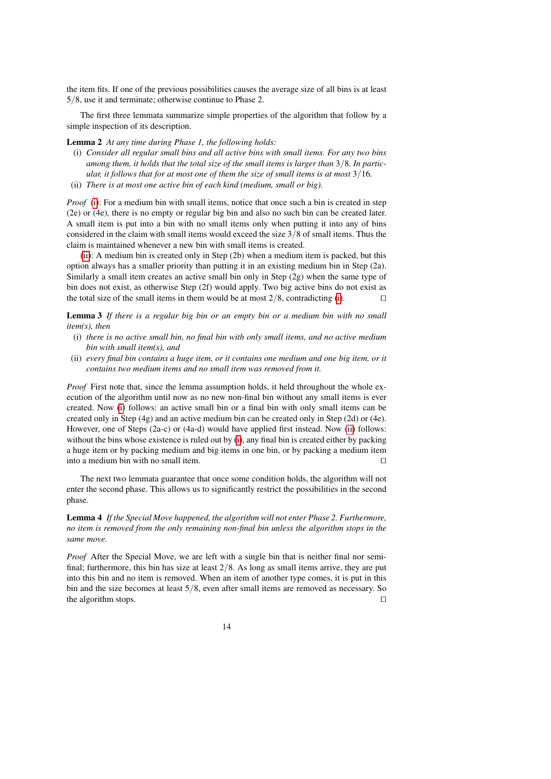the item fits. If one of the previous possibilities causes the average size of all bins is at least 5/8, use it and terminate; otherwise continue to Phase 2.

The first three lemmata summarize simple properties of the algorithm that follow by a simple inspection of its description.

Lemma 2 *At any time during Phase 1, the following holds:*

- <span id="page-13-4"></span><span id="page-13-0"></span>(i) *Consider all regular small bins and all active bins with small items. For any two bins among them, it holds that the total size of the small items is larger than* 3/8*. In particular, it follows that for at most one of them the size of small items is at most* 3/16*.*
- <span id="page-13-1"></span>(ii) *There is at most one active bin of each kind (medium, small or big).*

*Proof* [\(i\)](#page-13-0): For a medium bin with small items, notice that once such a bin is created in step (2e) or (4e), there is no empty or regular big bin and also no such bin can be created later. A small item is put into a bin with no small items only when putting it into any of bins considered in the claim with small items would exceed the size 3/8 of small items. Thus the claim is maintained whenever a new bin with small items is created.

[\(ii\)](#page-13-1): A medium bin is created only in Step (2b) when a medium item is packed, but this option always has a smaller priority than putting it in an existing medium bin in Step (2a). Similarly a small item creates an active small bin only in Step (2g) when the same type of bin does not exist, as otherwise Step (2f) would apply. Two big active bins do not exist as the total size of the small items in them would be at most  $2/8$ , contradicting [\(i\)](#page-13-0).

<span id="page-13-5"></span>Lemma 3 *If there is a regular big bin or an empty bin or a medium bin with no small item(s), then*

- <span id="page-13-2"></span>(i) *there is no active small bin, no final bin with only small items, and no active medium bin with small item(s), and*
- <span id="page-13-3"></span>(ii) *every final bin contains a huge item, or it contains one medium and one big item, or it contains two medium items and no small item was removed from it.*

*Proof* First note that, since the lemma assumption holds, it held throughout the whole execution of the algorithm until now as no new non-final bin without any small items is ever created. Now [\(i\)](#page-13-2) follows: an active small bin or a final bin with only small items can be created only in Step (4g) and an active medium bin can be created only in Step (2d) or (4e). However, one of Steps (2a-c) or (4a-d) would have applied first instead. Now [\(ii\)](#page-13-3) follows: without the bins whose existence is ruled out by [\(i\)](#page-13-2), any final bin is created either by packing a huge item or by packing medium and big items in one bin, or by packing a medium item into a medium bin with no small item.  $\Box$ 

The next two lemmata guarantee that once some condition holds, the algorithm will not enter the second phase. This allows us to significantly restrict the possibilities in the second phase.

<span id="page-13-6"></span>Lemma 4 *If the Special Move happened, the algorithm will not enter Phase 2. Furthermore, no item is removed from the only remaining non-final bin unless the algorithm stops in the same move.*

*Proof* After the Special Move, we are left with a single bin that is neither final nor semifinal; furthermore, this bin has size at least 2/8. As long as small items arrive, they are put into this bin and no item is removed. When an item of another type comes, it is put in this bin and the size becomes at least  $5/8$ , even after small items are removed as necessary. So the algorithm stops.  $\Box$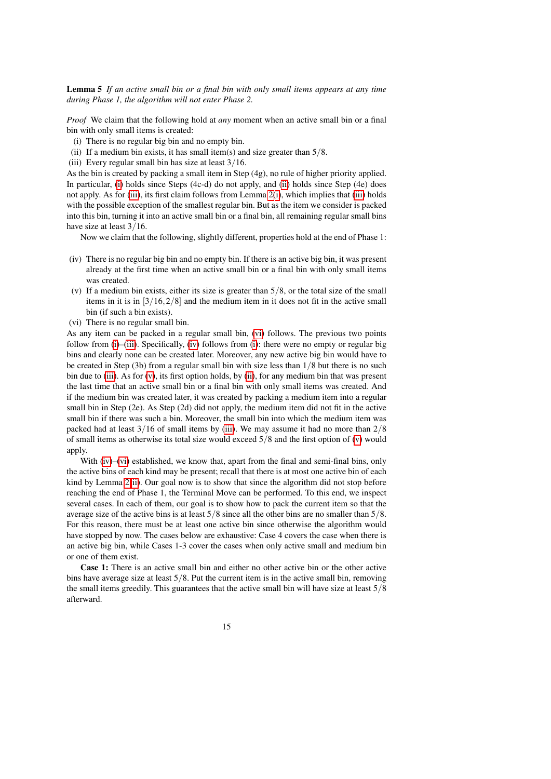<span id="page-14-0"></span>Lemma 5 *If an active small bin or a final bin with only small items appears at any time during Phase 1, the algorithm will not enter Phase 2.*

*Proof* We claim that the following hold at *any* moment when an active small bin or a final bin with only small items is created:

- <span id="page-14-1"></span>(i) There is no regular big bin and no empty bin.
- <span id="page-14-2"></span>(ii) If a medium bin exists, it has small item(s) and size greater than  $5/8$ .
- <span id="page-14-3"></span>(iii) Every regular small bin has size at least  $3/16$ .

As the bin is created by packing a small item in Step (4g), no rule of higher priority applied. In particular, [\(i\)](#page-14-1) holds since Steps (4c-d) do not apply, and [\(ii\)](#page-14-2) holds since Step (4e) does not apply. As for [\(iii\)](#page-14-3), its first claim follows from Lemma [2](#page-13-4)[\(i\)](#page-13-0), which implies that [\(iii\)](#page-14-3) holds with the possible exception of the smallest regular bin. But as the item we consider is packed into this bin, turning it into an active small bin or a final bin, all remaining regular small bins have size at least 3/16.

Now we claim that the following, slightly different, properties hold at the end of Phase 1:

- <span id="page-14-5"></span>(iv) There is no regular big bin and no empty bin. If there is an active big bin, it was present already at the first time when an active small bin or a final bin with only small items was created.
- <span id="page-14-6"></span>(v) If a medium bin exists, either its size is greater than 5/8, or the total size of the small items in it is in  $\left[3/16,2/8\right]$  and the medium item in it does not fit in the active small bin (if such a bin exists).
- <span id="page-14-4"></span>(vi) There is no regular small bin.

As any item can be packed in a regular small bin, [\(vi\)](#page-14-4) follows. The previous two points follow from [\(i\)](#page-14-1)–[\(iii\)](#page-14-3). Specifically, [\(iv\)](#page-14-5) follows from (i): there were no empty or regular big bins and clearly none can be created later. Moreover, any new active big bin would have to be created in Step (3b) from a regular small bin with size less than  $1/8$  but there is no such bin due to [\(iii\)](#page-14-3). As for [\(v\)](#page-14-6), its first option holds, by [\(ii\)](#page-14-2), for any medium bin that was present the last time that an active small bin or a final bin with only small items was created. And if the medium bin was created later, it was created by packing a medium item into a regular small bin in Step (2e). As Step (2d) did not apply, the medium item did not fit in the active small bin if there was such a bin. Moreover, the small bin into which the medium item was packed had at least  $3/16$  of small items by [\(iii\)](#page-14-3). We may assume it had no more than  $2/8$ of small items as otherwise its total size would exceed 5/8 and the first option of [\(v\)](#page-14-6) would apply.

With [\(iv\)](#page-14-5)–[\(vi\)](#page-14-4) established, we know that, apart from the final and semi-final bins, only the active bins of each kind may be present; recall that there is at most one active bin of each kind by Lemma [2\(](#page-13-4)[ii\)](#page-13-1). Our goal now is to show that since the algorithm did not stop before reaching the end of Phase 1, the Terminal Move can be performed. To this end, we inspect several cases. In each of them, our goal is to show how to pack the current item so that the average size of the active bins is at least 5/8 since all the other bins are no smaller than 5/8. For this reason, there must be at least one active bin since otherwise the algorithm would have stopped by now. The cases below are exhaustive: Case 4 covers the case when there is an active big bin, while Cases 1-3 cover the cases when only active small and medium bin or one of them exist.

Case 1: There is an active small bin and either no other active bin or the other active bins have average size at least  $5/8$ . Put the current item is in the active small bin, removing the small items greedily. This guarantees that the active small bin will have size at least 5/8 afterward.

15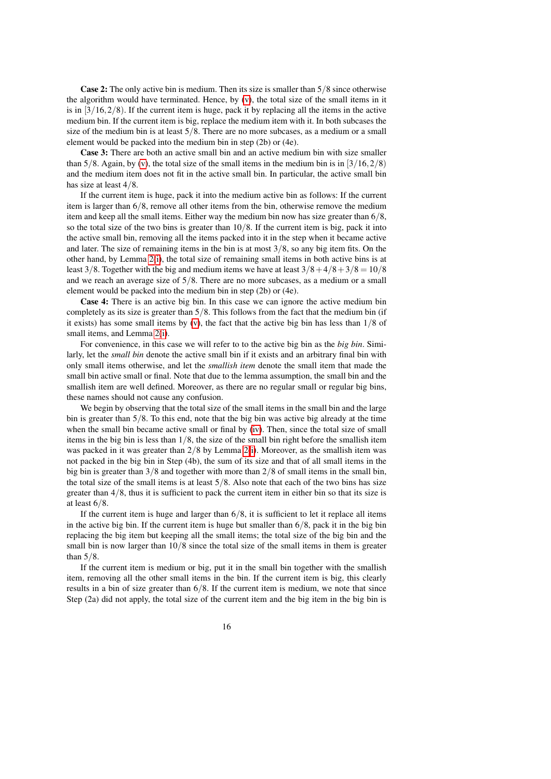Case 2: The only active bin is medium. Then its size is smaller than 5/8 since otherwise the algorithm would have terminated. Hence, by [\(v\)](#page-14-6), the total size of the small items in it is in  $\left[\frac{3}{16,2/8}\right]$ . If the current item is huge, pack it by replacing all the items in the active medium bin. If the current item is big, replace the medium item with it. In both subcases the size of the medium bin is at least  $5/8$ . There are no more subcases, as a medium or a small element would be packed into the medium bin in step (2b) or (4e).

Case 3: There are both an active small bin and an active medium bin with size smaller than  $5/8$ . Again, by [\(v\)](#page-14-6), the total size of the small items in the medium bin is in [ $3/16,2/8$ ] and the medium item does not fit in the active small bin. In particular, the active small bin has size at least 4/8.

If the current item is huge, pack it into the medium active bin as follows: If the current item is larger than  $6/8$ , remove all other items from the bin, otherwise remove the medium item and keep all the small items. Either way the medium bin now has size greater than 6/8, so the total size of the two bins is greater than 10/8. If the current item is big, pack it into the active small bin, removing all the items packed into it in the step when it became active and later. The size of remaining items in the bin is at most  $3/8$ , so any big item fits. On the other hand, by Lemma [2](#page-13-4)[\(i\)](#page-13-0), the total size of remaining small items in both active bins is at least  $3/8$ . Together with the big and medium items we have at least  $3/8+4/8+3/8 = 10/8$ and we reach an average size of 5/8. There are no more subcases, as a medium or a small element would be packed into the medium bin in step (2b) or (4e).

Case 4: There is an active big bin. In this case we can ignore the active medium bin completely as its size is greater than 5/8. This follows from the fact that the medium bin (if it exists) has some small items by [\(v\)](#page-14-6), the fact that the active big bin has less than  $1/8$  of small items, and Lemma [2](#page-13-4)[\(i\)](#page-13-0).

For convenience, in this case we will refer to to the active big bin as the *big bin*. Similarly, let the *small bin* denote the active small bin if it exists and an arbitrary final bin with only small items otherwise, and let the *smallish item* denote the small item that made the small bin active small or final. Note that due to the lemma assumption, the small bin and the smallish item are well defined. Moreover, as there are no regular small or regular big bins, these names should not cause any confusion.

We begin by observing that the total size of the small items in the small bin and the large bin is greater than 5/8. To this end, note that the big bin was active big already at the time when the small bin became active small or final by [\(iv\)](#page-14-5). Then, since the total size of small items in the big bin is less than 1/8, the size of the small bin right before the smallish item was packed in it was greater than 2/8 by Lemma [2](#page-13-4)[\(i\)](#page-13-0). Moreover, as the smallish item was not packed in the big bin in Step (4b), the sum of its size and that of all small items in the big bin is greater than  $3/8$  and together with more than  $2/8$  of small items in the small bin, the total size of the small items is at least  $5/8$ . Also note that each of the two bins has size greater than 4/8, thus it is sufficient to pack the current item in either bin so that its size is at least 6/8.

If the current item is huge and larger than  $6/8$ , it is sufficient to let it replace all items in the active big bin. If the current item is huge but smaller than  $6/8$ , pack it in the big bin replacing the big item but keeping all the small items; the total size of the big bin and the small bin is now larger than  $10/8$  since the total size of the small items in them is greater than  $5/8$ .

If the current item is medium or big, put it in the small bin together with the smallish item, removing all the other small items in the bin. If the current item is big, this clearly results in a bin of size greater than  $6/8$ . If the current item is medium, we note that since Step (2a) did not apply, the total size of the current item and the big item in the big bin is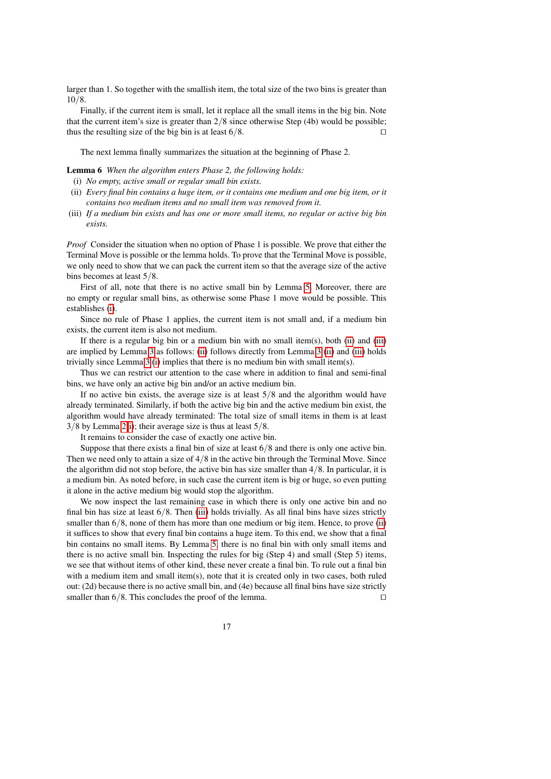larger than 1. So together with the smallish item, the total size of the two bins is greater than 10/8.

Finally, if the current item is small, let it replace all the small items in the big bin. Note that the current item's size is greater than 2/8 since otherwise Step (4b) would be possible; thus the resulting size of the big bin is at least  $6/8$ .

<span id="page-16-0"></span>The next lemma finally summarizes the situation at the beginning of Phase 2.

Lemma 6 *When the algorithm enters Phase 2, the following holds:*

- <span id="page-16-1"></span>(i) *No empty, active small or regular small bin exists.*
- <span id="page-16-2"></span>(ii) *Every final bin contains a huge item, or it contains one medium and one big item, or it contains two medium items and no small item was removed from it.*
- <span id="page-16-3"></span>(iii) *If a medium bin exists and has one or more small items, no regular or active big bin exists.*

*Proof* Consider the situation when no option of Phase 1 is possible. We prove that either the Terminal Move is possible or the lemma holds. To prove that the Terminal Move is possible, we only need to show that we can pack the current item so that the average size of the active bins becomes at least 5/8.

First of all, note that there is no active small bin by Lemma [5.](#page-14-0) Moreover, there are no empty or regular small bins, as otherwise some Phase 1 move would be possible. This establishes [\(i\)](#page-16-1).

Since no rule of Phase 1 applies, the current item is not small and, if a medium bin exists, the current item is also not medium.

If there is a regular big bin or a medium bin with no small item(s), both [\(ii\)](#page-16-2) and [\(iii\)](#page-16-3) are implied by Lemma [3](#page-13-5) as follows: [\(ii\)](#page-16-2) follows directly from Lemma [3](#page-13-5) [\(ii\)](#page-13-3) and [\(iii\)](#page-16-3) holds trivially since Lemma [3](#page-13-5) [\(i\)](#page-13-2) implies that there is no medium bin with small item(s).

Thus we can restrict our attention to the case where in addition to final and semi-final bins, we have only an active big bin and/or an active medium bin.

If no active bin exists, the average size is at least  $5/8$  and the algorithm would have already terminated. Similarly, if both the active big bin and the active medium bin exist, the algorithm would have already terminated: The total size of small items in them is at least 3/8 by Lemma [2\(](#page-13-4)[i\)](#page-13-0); their average size is thus at least 5/8.

It remains to consider the case of exactly one active bin.

Suppose that there exists a final bin of size at least 6/8 and there is only one active bin. Then we need only to attain a size of 4/8 in the active bin through the Terminal Move. Since the algorithm did not stop before, the active bin has size smaller than  $4/8$ . In particular, it is a medium bin. As noted before, in such case the current item is big or huge, so even putting it alone in the active medium big would stop the algorithm.

We now inspect the last remaining case in which there is only one active bin and no final bin has size at least  $6/8$ . Then [\(iii\)](#page-16-3) holds trivially. As all final bins have sizes strictly smaller than  $6/8$ , none of them has more than one medium or big item. Hence, to prove [\(ii\)](#page-16-2) it suffices to show that every final bin contains a huge item. To this end, we show that a final bin contains no small items. By Lemma [5,](#page-14-0) there is no final bin with only small items and there is no active small bin. Inspecting the rules for big (Step 4) and small (Step 5) items, we see that without items of other kind, these never create a final bin. To rule out a final bin with a medium item and small item(s), note that it is created only in two cases, both ruled out: (2d) because there is no active small bin, and (4e) because all final bins have size strictly smaller than  $6/8$ . This concludes the proof of the lemma.  $\Box$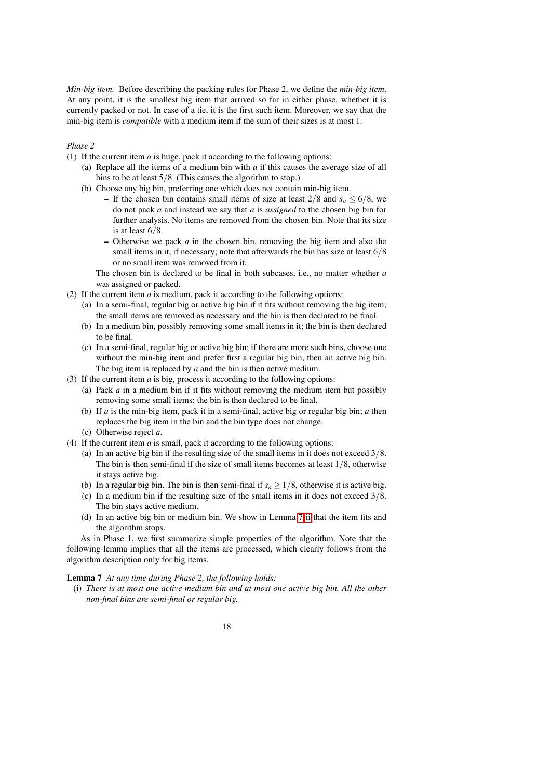*Min-big item.* Before describing the packing rules for Phase 2, we define the *min-big item*. At any point, it is the smallest big item that arrived so far in either phase, whether it is currently packed or not. In case of a tie, it is the first such item. Moreover, we say that the min-big item is *compatible* with a medium item if the sum of their sizes is at most 1.

*Phase 2*

- (1) If the current item *a* is huge, pack it according to the following options:
	- (a) Replace all the items of a medium bin with *a* if this causes the average size of all bins to be at least 5/8. (This causes the algorithm to stop.)
	- (b) Choose any big bin, preferring one which does not contain min-big item.
		- If the chosen bin contains small items of size at least  $2/8$  and  $s_a \leq 6/8$ , we do not pack *a* and instead we say that *a* is *assigned* to the chosen big bin for further analysis. No items are removed from the chosen bin. Note that its size is at least 6/8.
		- Otherwise we pack *a* in the chosen bin, removing the big item and also the small items in it, if necessary; note that afterwards the bin has size at least 6/8 or no small item was removed from it.

The chosen bin is declared to be final in both subcases, i.e., no matter whether *a* was assigned or packed.

- (2) If the current item *a* is medium, pack it according to the following options:
	- (a) In a semi-final, regular big or active big bin if it fits without removing the big item; the small items are removed as necessary and the bin is then declared to be final.
	- (b) In a medium bin, possibly removing some small items in it; the bin is then declared to be final.
	- (c) In a semi-final, regular big or active big bin; if there are more such bins, choose one without the min-big item and prefer first a regular big bin, then an active big bin. The big item is replaced by *a* and the bin is then active medium.
- (3) If the current item *a* is big, process it according to the following options:
	- (a) Pack *a* in a medium bin if it fits without removing the medium item but possibly removing some small items; the bin is then declared to be final.
	- (b) If *a* is the min-big item, pack it in a semi-final, active big or regular big bin; *a* then replaces the big item in the bin and the bin type does not change.
	- (c) Otherwise reject *a*.
- (4) If the current item *a* is small, pack it according to the following options:
	- (a) In an active big bin if the resulting size of the small items in it does not exceed 3/8. The bin is then semi-final if the size of small items becomes at least 1/8, otherwise it stays active big.
	- (b) In a regular big bin. The bin is then semi-final if  $s_a \geq 1/8$ , otherwise it is active big.
	- (c) In a medium bin if the resulting size of the small items in it does not exceed  $3/8$ . The bin stays active medium.
	- (d) In an active big bin or medium bin. We show in Lemma [7\(](#page-17-0)[ii](#page-18-0) that the item fits and the algorithm stops.

As in Phase 1, we first summarize simple properties of the algorithm. Note that the following lemma implies that all the items are processed, which clearly follows from the algorithm description only for big items.

#### Lemma 7 *At any time during Phase 2, the following holds:*

<span id="page-17-1"></span>(i) *There is at most one active medium bin and at most one active big bin. All the other non-final bins are semi-final or regular big.*

<span id="page-17-0"></span>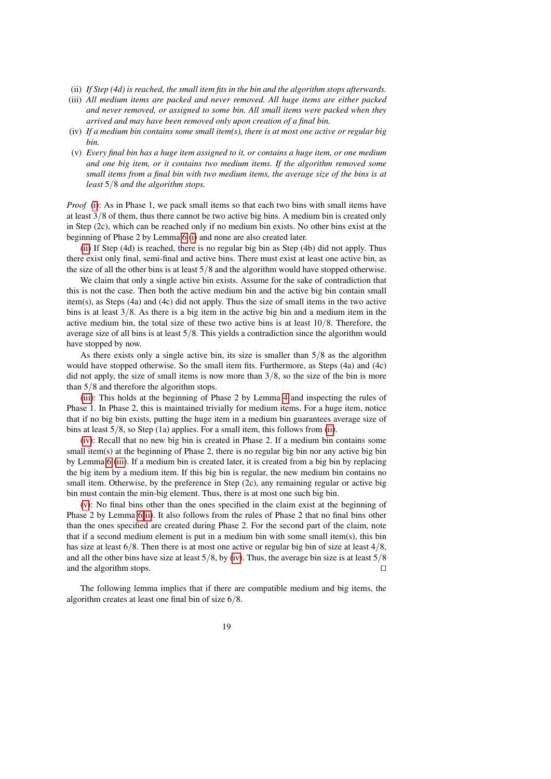- <span id="page-18-0"></span>(ii) *If Step (4d) is reached, the small item fits in the bin and the algorithm stops afterwards.*
- <span id="page-18-1"></span>(iii) *All medium items are packed and never removed. All huge items are either packed and never removed, or assigned to some bin. All small items were packed when they arrived and may have been removed only upon creation of a final bin.*
- <span id="page-18-2"></span>(iv) *If a medium bin contains some small item(s), there is at most one active or regular big bin.*
- <span id="page-18-3"></span>(v) *Every final bin has a huge item assigned to it, or contains a huge item, or one medium and one big item, or it contains two medium items. If the algorithm removed some small items from a final bin with two medium items, the average size of the bins is at least* 5/8 *and the algorithm stops.*

*Proof* [\(i\)](#page-17-1): As in Phase 1, we pack small items so that each two bins with small items have at least 3/8 of them, thus there cannot be two active big bins. A medium bin is created only in Step (2c), which can be reached only if no medium bin exists. No other bins exist at the beginning of Phase 2 by Lemma [6](#page-16-0) [\(i\)](#page-16-1) and none are also created later.

[\(ii\)](#page-18-0) If Step (4d) is reached, there is no regular big bin as Step (4b) did not apply. Thus there exist only final, semi-final and active bins. There must exist at least one active bin, as the size of all the other bins is at least 5/8 and the algorithm would have stopped otherwise.

We claim that only a single active bin exists. Assume for the sake of contradiction that this is not the case. Then both the active medium bin and the active big bin contain small item(s), as Steps (4a) and (4c) did not apply. Thus the size of small items in the two active bins is at least 3/8. As there is a big item in the active big bin and a medium item in the active medium bin, the total size of these two active bins is at least 10/8. Therefore, the average size of all bins is at least 5/8. This yields a contradiction since the algorithm would have stopped by now.

As there exists only a single active bin, its size is smaller than  $5/8$  as the algorithm would have stopped otherwise. So the small item fits. Furthermore, as Steps (4a) and (4c) did not apply, the size of small items is now more than  $3/8$ , so the size of the bin is more than 5/8 and therefore the algorithm stops.

[\(iii\)](#page-18-1): This holds at the beginning of Phase 2 by Lemma [4](#page-13-6) and inspecting the rules of Phase 1. In Phase 2, this is maintained trivially for medium items. For a huge item, notice that if no big bin exists, putting the huge item in a medium bin guarantees average size of bins at least 5/8, so Step (1a) applies. For a small item, this follows from [\(ii\)](#page-18-0).

[\(iv\)](#page-18-2): Recall that no new big bin is created in Phase 2. If a medium bin contains some small item(s) at the beginning of Phase 2, there is no regular big bin nor any active big bin by Lemma [6](#page-16-0) [\(iii\)](#page-16-3). If a medium bin is created later, it is created from a big bin by replacing the big item by a medium item. If this big bin is regular, the new medium bin contains no small item. Otherwise, by the preference in Step (2c), any remaining regular or active big bin must contain the min-big element. Thus, there is at most one such big bin.

[\(v\)](#page-18-3): No final bins other than the ones specified in the claim exist at the beginning of Phase 2 by Lemma [6\(](#page-16-0)[ii\)](#page-16-2). It also follows from the rules of Phase 2 that no final bins other than the ones specified are created during Phase 2. For the second part of the claim, note that if a second medium element is put in a medium bin with some small item(s), this bin has size at least  $6/8$ . Then there is at most one active or regular big bin of size at least  $4/8$ , and all the other bins have size at least  $5/8$ , by [\(iv\)](#page-18-2). Thus, the average bin size is at least  $5/8$ and the algorithm stops.  $\Box$ 

<span id="page-18-4"></span>The following lemma implies that if there are compatible medium and big items, the algorithm creates at least one final bin of size 6/8.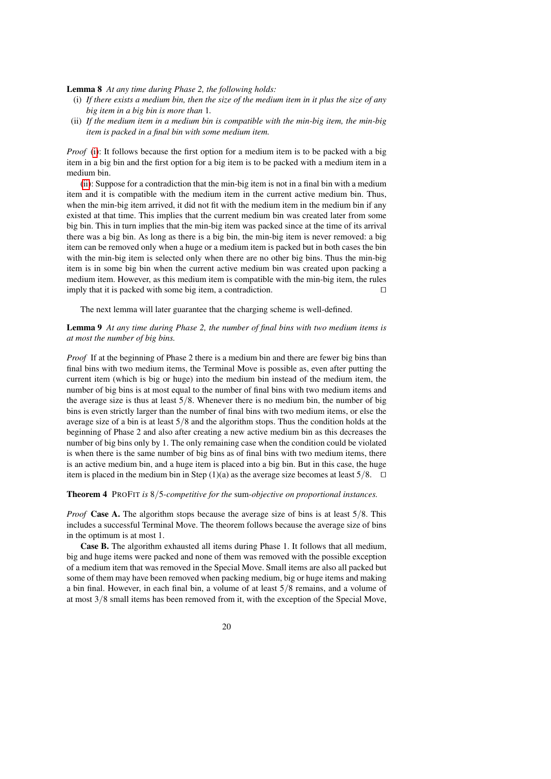Lemma 8 *At any time during Phase 2, the following holds:*

- <span id="page-19-2"></span>(i) *If there exists a medium bin, then the size of the medium item in it plus the size of any big item in a big bin is more than* 1*.*
- <span id="page-19-3"></span>(ii) *If the medium item in a medium bin is compatible with the min-big item, the min-big item is packed in a final bin with some medium item.*

*Proof* [\(i\)](#page-19-2): It follows because the first option for a medium item is to be packed with a big item in a big bin and the first option for a big item is to be packed with a medium item in a medium bin.

[\(ii\)](#page-19-3): Suppose for a contradiction that the min-big item is not in a final bin with a medium item and it is compatible with the medium item in the current active medium bin. Thus, when the min-big item arrived, it did not fit with the medium item in the medium bin if any existed at that time. This implies that the current medium bin was created later from some big bin. This in turn implies that the min-big item was packed since at the time of its arrival there was a big bin. As long as there is a big bin, the min-big item is never removed: a big item can be removed only when a huge or a medium item is packed but in both cases the bin with the min-big item is selected only when there are no other big bins. Thus the min-big item is in some big bin when the current active medium bin was created upon packing a medium item. However, as this medium item is compatible with the min-big item, the rules imply that it is packed with some big item, a contradiction.  $\Box$ 

<span id="page-19-1"></span>The next lemma will later guarantee that the charging scheme is well-defined.

## Lemma 9 *At any time during Phase 2, the number of final bins with two medium items is at most the number of big bins.*

*Proof* If at the beginning of Phase 2 there is a medium bin and there are fewer big bins than final bins with two medium items, the Terminal Move is possible as, even after putting the current item (which is big or huge) into the medium bin instead of the medium item, the number of big bins is at most equal to the number of final bins with two medium items and the average size is thus at least  $5/8$ . Whenever there is no medium bin, the number of big bins is even strictly larger than the number of final bins with two medium items, or else the average size of a bin is at least 5/8 and the algorithm stops. Thus the condition holds at the beginning of Phase 2 and also after creating a new active medium bin as this decreases the number of big bins only by 1. The only remaining case when the condition could be violated is when there is the same number of big bins as of final bins with two medium items, there is an active medium bin, and a huge item is placed into a big bin. But in this case, the huge item is placed in the medium bin in Step (1)(a) as the average size becomes at least  $5/8$ .  $\Box$ 

### <span id="page-19-0"></span>Theorem 4 PROFIT *is* 8/5*-competitive for the* sum*-objective on proportional instances.*

*Proof* Case A. The algorithm stops because the average size of bins is at least 5/8. This includes a successful Terminal Move. The theorem follows because the average size of bins in the optimum is at most 1.

Case B. The algorithm exhausted all items during Phase 1. It follows that all medium, big and huge items were packed and none of them was removed with the possible exception of a medium item that was removed in the Special Move. Small items are also all packed but some of them may have been removed when packing medium, big or huge items and making a bin final. However, in each final bin, a volume of at least 5/8 remains, and a volume of at most 3/8 small items has been removed from it, with the exception of the Special Move,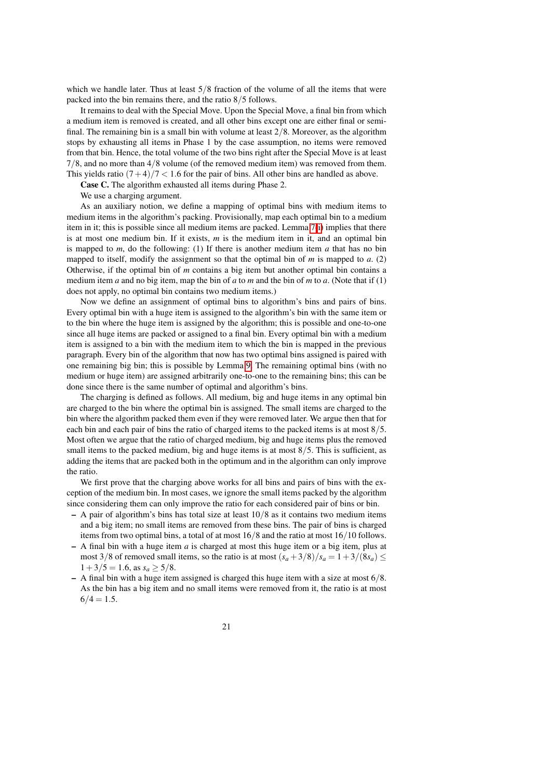which we handle later. Thus at least  $5/8$  fraction of the volume of all the items that were packed into the bin remains there, and the ratio 8/5 follows.

It remains to deal with the Special Move. Upon the Special Move, a final bin from which a medium item is removed is created, and all other bins except one are either final or semifinal. The remaining bin is a small bin with volume at least 2/8. Moreover, as the algorithm stops by exhausting all items in Phase 1 by the case assumption, no items were removed from that bin. Hence, the total volume of the two bins right after the Special Move is at least 7/8, and no more than 4/8 volume (of the removed medium item) was removed from them. This yields ratio  $(7+4)/7 < 1.6$  for the pair of bins. All other bins are handled as above.

Case C. The algorithm exhausted all items during Phase 2.

We use a charging argument.

As an auxiliary notion, we define a mapping of optimal bins with medium items to medium items in the algorithm's packing. Provisionally, map each optimal bin to a medium item in it; this is possible since all medium items are packed. Lemma [7\(](#page-17-0)[i\)](#page-17-1) implies that there is at most one medium bin. If it exists, *m* is the medium item in it, and an optimal bin is mapped to *m*, do the following: (1) If there is another medium item *a* that has no bin mapped to itself, modify the assignment so that the optimal bin of *m* is mapped to *a*. (2) Otherwise, if the optimal bin of *m* contains a big item but another optimal bin contains a medium item *a* and no big item, map the bin of *a* to *m* and the bin of *m* to *a*. (Note that if (1) does not apply, no optimal bin contains two medium items.)

Now we define an assignment of optimal bins to algorithm's bins and pairs of bins. Every optimal bin with a huge item is assigned to the algorithm's bin with the same item or to the bin where the huge item is assigned by the algorithm; this is possible and one-to-one since all huge items are packed or assigned to a final bin. Every optimal bin with a medium item is assigned to a bin with the medium item to which the bin is mapped in the previous paragraph. Every bin of the algorithm that now has two optimal bins assigned is paired with one remaining big bin; this is possible by Lemma [9.](#page-19-1) The remaining optimal bins (with no medium or huge item) are assigned arbitrarily one-to-one to the remaining bins; this can be done since there is the same number of optimal and algorithm's bins.

The charging is defined as follows. All medium, big and huge items in any optimal bin are charged to the bin where the optimal bin is assigned. The small items are charged to the bin where the algorithm packed them even if they were removed later. We argue then that for each bin and each pair of bins the ratio of charged items to the packed items is at most 8/5. Most often we argue that the ratio of charged medium, big and huge items plus the removed small items to the packed medium, big and huge items is at most  $8/5$ . This is sufficient, as adding the items that are packed both in the optimum and in the algorithm can only improve the ratio.

We first prove that the charging above works for all bins and pairs of bins with the exception of the medium bin. In most cases, we ignore the small items packed by the algorithm since considering them can only improve the ratio for each considered pair of bins or bin.

- A pair of algorithm's bins has total size at least 10/8 as it contains two medium items and a big item; no small items are removed from these bins. The pair of bins is charged items from two optimal bins, a total of at most 16/8 and the ratio at most 16/10 follows.
- A final bin with a huge item *a* is charged at most this huge item or a big item, plus at most 3/8 of removed small items, so the ratio is at most  $(s_a + 3/8)/s_a = 1 + 3/(8s_a) \le$  $1+3/5 = 1.6$ , as  $s_a \geq 5/8$ .
- $-$  A final bin with a huge item assigned is charged this huge item with a size at most  $6/8$ . As the bin has a big item and no small items were removed from it, the ratio is at most  $6/4 = 1.5$ .
	- 21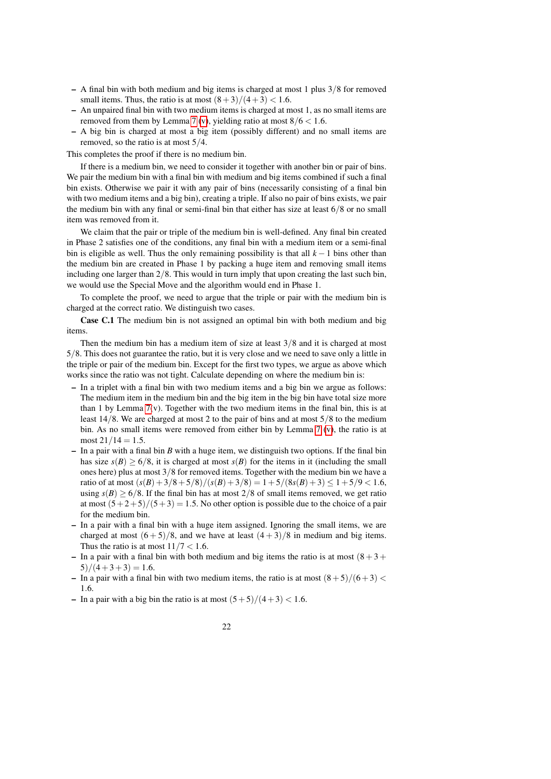- $-$  A final bin with both medium and big items is charged at most 1 plus  $3/8$  for removed small items. Thus, the ratio is at most  $(8+3)/(4+3) < 1.6$ .
- An unpaired final bin with two medium items is charged at most 1, as no small items are removed from them by Lemma [7](#page-17-0) [\(v\)](#page-18-3), yielding ratio at most  $8/6 < 1.6$ .
- A big bin is charged at most a big item (possibly different) and no small items are removed, so the ratio is at most 5/4.

This completes the proof if there is no medium bin.

If there is a medium bin, we need to consider it together with another bin or pair of bins. We pair the medium bin with a final bin with medium and big items combined if such a final bin exists. Otherwise we pair it with any pair of bins (necessarily consisting of a final bin with two medium items and a big bin), creating a triple. If also no pair of bins exists, we pair the medium bin with any final or semi-final bin that either has size at least 6/8 or no small item was removed from it.

We claim that the pair or triple of the medium bin is well-defined. Any final bin created in Phase 2 satisfies one of the conditions, any final bin with a medium item or a semi-final bin is eligible as well. Thus the only remaining possibility is that all *k* − 1 bins other than the medium bin are created in Phase 1 by packing a huge item and removing small items including one larger than 2/8. This would in turn imply that upon creating the last such bin, we would use the Special Move and the algorithm would end in Phase 1.

To complete the proof, we need to argue that the triple or pair with the medium bin is charged at the correct ratio. We distinguish two cases.

Case C.1 The medium bin is not assigned an optimal bin with both medium and big items.

Then the medium bin has a medium item of size at least 3/8 and it is charged at most 5/8. This does not guarantee the ratio, but it is very close and we need to save only a little in the triple or pair of the medium bin. Except for the first two types, we argue as above which works since the ratio was not tight. Calculate depending on where the medium bin is:

- In a triplet with a final bin with two medium items and a big bin we argue as follows: The medium item in the medium bin and the big item in the big bin have total size more than 1 by Lemma  $7(v)$ . Together with the two medium items in the final bin, this is at least  $14/8$ . We are charged at most 2 to the pair of bins and at most  $5/8$  to the medium bin. As no small items were removed from either bin by Lemma [7](#page-17-0) [\(v\)](#page-18-3), the ratio is at most  $21/14 = 1.5$ .
- In a pair with a final bin *B* with a huge item, we distinguish two options. If the final bin has size  $s(B) > 6/8$ , it is charged at most  $s(B)$  for the items in it (including the small ones here) plus at most 3/8 for removed items. Together with the medium bin we have a ratio of at most  $(s(B) + 3/8 + 5/8)/(s(B) + 3/8) = 1 + 5/(8s(B) + 3) < 1 + 5/9 < 1.6$ , using  $s(B) > 6/8$ . If the final bin has at most 2/8 of small items removed, we get ratio at most  $(5+2+5)/(5+3) = 1.5$ . No other option is possible due to the choice of a pair for the medium bin.
- In a pair with a final bin with a huge item assigned. Ignoring the small items, we are charged at most  $(6+5)/8$ , and we have at least  $(4+3)/8$  in medium and big items. Thus the ratio is at most  $11/7 < 1.6$ .
- In a pair with a final bin with both medium and big items the ratio is at most  $(8 + 3 + 1)$  $5)/(4+3+3) = 1.6.$
- In a pair with a final bin with two medium items, the ratio is at most  $(8+5)/(6+3)$ 1.6.
- In a pair with a big bin the ratio is at most  $(5+5)/(4+3) < 1.6$ .
	- $22$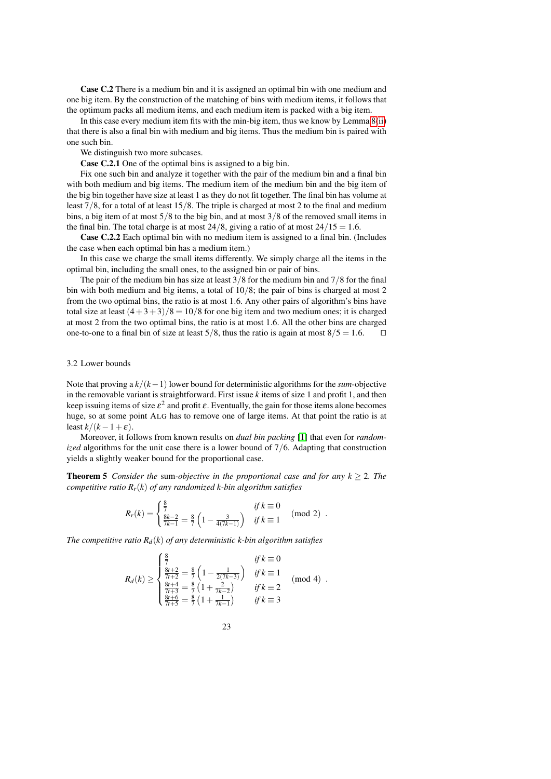Case C.2 There is a medium bin and it is assigned an optimal bin with one medium and one big item. By the construction of the matching of bins with medium items, it follows that the optimum packs all medium items, and each medium item is packed with a big item.

In this case every medium item fits with the min-big item, thus we know by Lemma [8](#page-18-4)[\(ii\)](#page-19-3) that there is also a final bin with medium and big items. Thus the medium bin is paired with one such bin.

We distinguish two more subcases.

Case C.2.1 One of the optimal bins is assigned to a big bin.

Fix one such bin and analyze it together with the pair of the medium bin and a final bin with both medium and big items. The medium item of the medium bin and the big item of the big bin together have size at least 1 as they do not fit together. The final bin has volume at least 7/8, for a total of at least 15/8. The triple is charged at most 2 to the final and medium bins, a big item of at most 5/8 to the big bin, and at most 3/8 of the removed small items in the final bin. The total charge is at most  $24/8$ , giving a ratio of at most  $24/15 = 1.6$ .

Case C.2.2 Each optimal bin with no medium item is assigned to a final bin. (Includes the case when each optimal bin has a medium item.)

In this case we charge the small items differently. We simply charge all the items in the optimal bin, including the small ones, to the assigned bin or pair of bins.

The pair of the medium bin has size at least  $3/8$  for the medium bin and  $7/8$  for the final bin with both medium and big items, a total of 10/8; the pair of bins is charged at most 2 from the two optimal bins, the ratio is at most 1.6. Any other pairs of algorithm's bins have total size at least  $(4+3+3)/8 = 10/8$  for one big item and two medium ones; it is charged at most 2 from the two optimal bins, the ratio is at most 1.6. All the other bins are charged one-to-one to a final bin of size at least 5/8, thus the ratio is again at most  $8/5 = 1.6$ .  $\Box$ 

## 3.2 Lower bounds

Note that proving a *k*/(*k*−1) lower bound for deterministic algorithms for the *sum*-objective in the removable variant is straightforward. First issue *k* items of size 1 and profit 1, and then keep issuing items of size  $\varepsilon^2$  and profit  $\varepsilon$ . Eventually, the gain for those items alone becomes huge, so at some point ALG has to remove one of large items. At that point the ratio is at least  $k/(k-1+\varepsilon)$ .

Moreover, it follows from known results on *dual bin packing* [\[1\]](#page-32-0) that even for *randomized* algorithms for the unit case there is a lower bound of 7/6. Adapting that construction yields a slightly weaker bound for the proportional case.

<span id="page-22-0"></span>**Theorem 5** *Consider the* sum-objective in the proportional case and for any  $k \geq 2$ . The *competitive ratio Rr*(*k*) *of any randomized k-bin algorithm satisfies*

$$
R_r(k) = \begin{cases} \frac{8}{7} & \text{if } k \equiv 0\\ \frac{8k-2}{7k-1} = \frac{8}{7} \left(1 - \frac{3}{4(7k-1)}\right) & \text{if } k \equiv 1 \end{cases} \pmod{2} .
$$

*The competitive ratio*  $R_d(k)$  *of any deterministic k-bin algorithm satisfies* 

$$
R_d(k) \ge \begin{cases} \frac{8}{7} & \text{if } k \equiv 0\\ \frac{8t+2}{7t+2} = \frac{8}{7} \left(1 - \frac{1}{2(7k-3)}\right) & \text{if } k \equiv 1\\ \frac{8t+4}{7t+3} = \frac{8}{7} \left(1 + \frac{2}{7k-2}\right) & \text{if } k \equiv 2\\ \frac{8t+6}{7t+5} = \frac{8}{7} \left(1 + \frac{1}{7k-1}\right) & \text{if } k \equiv 3 \end{cases} \pmod{4}.
$$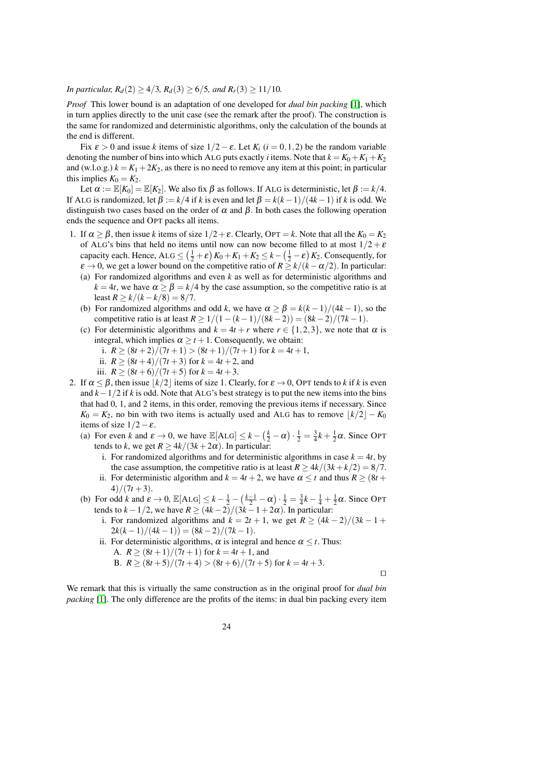*In particular,*  $R_d(2) \geq 4/3$ ,  $R_d(3) \geq 6/5$ , and  $R_r(3) \geq 11/10$ .

*Proof* This lower bound is an adaptation of one developed for *dual bin packing* [\[1\]](#page-32-0), which in turn applies directly to the unit case (see the remark after the proof). The construction is the same for randomized and deterministic algorithms, only the calculation of the bounds at the end is different.

Fix  $\varepsilon > 0$  and issue *k* items of size  $1/2 - \varepsilon$ . Let  $K_i$  ( $i = 0, 1, 2$ ) be the random variable denoting the number of bins into which ALG puts exactly *i* items. Note that  $k = K_0 + K_1 + K_2$ and (w.l.o.g.)  $k = K_1 + 2K_2$ , as there is no need to remove any item at this point; in particular this implies  $K_0 = K_2$ .

Let  $\alpha := \mathbb{E}[K_0] = \mathbb{E}[K_2]$ . We also fix  $\beta$  as follows. If ALG is deterministic, let  $\beta := k/4$ . If ALG is randomized, let  $\beta := k/4$  if *k* is even and let  $\beta = k(k-1)/(4k-1)$  if *k* is odd. We distinguish two cases based on the order of  $\alpha$  and  $\beta$ . In both cases the following operation ends the sequence and OPT packs all items.

- 1. If  $\alpha \ge \beta$ , then issue *k* items of size  $1/2 + \varepsilon$ . Clearly, OPT = *k*. Note that all the  $K_0 = K_2$ of ALG's bins that held no items until now can now become filled to at most  $1/2 + \varepsilon$ capacity each. Hence,  $ALG \leq (\frac{1}{2} + \varepsilon) K_0 + K_1 + K_2 \leq k - (\frac{1}{2} - \varepsilon) K_2$ . Consequently, for  $\varepsilon \to 0$ , we get a lower bound on the competitive ratio of  $R \ge k/(k-\alpha/2)$ . In particular:
	- (a) For randomized algorithms and even *k* as well as for deterministic algorithms and  $k = 4t$ , we have  $\alpha \ge \beta = k/4$  by the case assumption, so the competitive ratio is at least *R* ≥  $k/(k - k/8) = 8/7$ .
	- (b) For randomized algorithms and odd *k*, we have  $\alpha \ge \beta = k(k-1)/(4k-1)$ , so the competitive ratio is at least  $R \ge 1/(1 - (k-1)/(8k-2)) = (8k-2)/(7k-1)$ .
	- (c) For deterministic algorithms and  $k = 4t + r$  where  $r \in \{1,2,3\}$ , we note that  $\alpha$  is integral, which implies  $\alpha > t + 1$ . Consequently, we obtain:
		- i.  $R \geq (8t+2)/(7t+1) > (8t+1)/(7t+1)$  for  $k = 4t+1$ ,
		- ii.  $R \geq (8t+4)/(7t+3)$  for  $k = 4t+2$ , and
		- iii.  $R > (8t+6)/(7t+5)$  for  $k = 4t+3$ .
- 2. If  $\alpha \leq \beta$ , then issue  $\lfloor k/2 \rfloor$  items of size 1. Clearly, for  $\varepsilon \to 0$ , OPT tends to *k* if *k* is even and  $k-1/2$  if k is odd. Note that ALG's best strategy is to put the new items into the bins that had 0, 1, and 2 items, in this order, removing the previous items if necessary. Since  $K_0 = K_2$ , no bin with two items is actually used and ALG has to remove  $\left|k/2\right| - K_0$ items of size  $1/2 - \varepsilon$ .
	- (a) For even *k* and  $\varepsilon \to 0$ , we have  $\mathbb{E}[ALG] \leq k (\frac{k}{2} \alpha) \cdot \frac{1}{2} = \frac{3}{4}k + \frac{1}{2}\alpha$ . Since OPT tends to *k*, we get  $R \ge 4k/(3k+2\alpha)$ . In particular:
		- i. For randomized algorithms and for deterministic algorithms in case  $k = 4t$ , by the case assumption, the competitive ratio is at least  $R \ge 4k/(3k+k/2) = 8/7$ .
		- ii. For deterministic algorithm and  $k = 4t + 2$ , we have  $\alpha \le t$  and thus  $R \ge (8t +$  $4)/(7t+3)$ .
	- (b) For odd *k* and  $\varepsilon \to 0$ ,  $\mathbb{E}[ALG] \leq k \frac{1}{2} (\frac{k-1}{2} \alpha) \cdot \frac{1}{2} = \frac{3}{4}k \frac{1}{4} + \frac{1}{2}\alpha$ . Since OPT tends to  $k - 1/2$ , we have  $R \ge (4k - 2)/(3k - 1 + 2\alpha)$ . In particular:
		- i. For randomized algorithms and  $k = 2t + 1$ , we get  $R \ge (4k 2)/(3k 1 +$  $2k(k-1)/(4k-1)) = (8k-2)/(7k-1).$
		- ii. For deterministic algorithms,  $\alpha$  is integral and hence  $\alpha \leq t$ . Thus: A.  $R \geq (8t+1)/(7t+1)$  for  $k = 4t+1$ , and **B.**  $R > (8t+5)/(7t+4) > (8t+6)/(7t+5)$  for  $k = 4t+3$ .

 $\Box$ 

We remark that this is virtually the same construction as in the original proof for *dual bin packing* [\[1\]](#page-32-0). The only difference are the profits of the items: in dual bin packing every item

24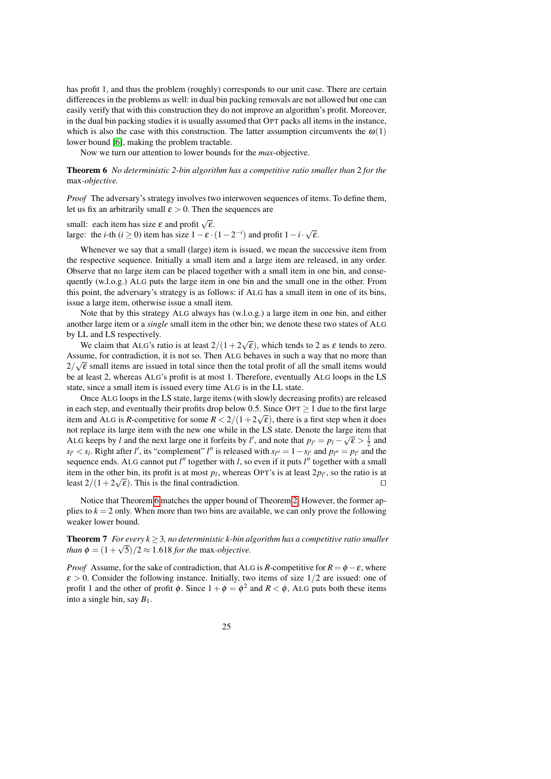has profit 1, and thus the problem (roughly) corresponds to our unit case. There are certain differences in the problems as well: in dual bin packing removals are not allowed but one can easily verify that with this construction they do not improve an algorithm's profit. Moreover, in the dual bin packing studies it is usually assumed that OPT packs all items in the instance, which is also the case with this construction. The latter assumption circumvents the  $\omega(1)$ lower bound [\[6\]](#page-32-1), making the problem tractable.

Now we turn our attention to lower bounds for the *max*-objective.

<span id="page-24-1"></span>Theorem 6 *No deterministic 2-bin algorithm has a competitive ratio smaller than* 2 *for the* max*-objective.*

*Proof* The adversary's strategy involves two interwoven sequences of items. To define them, let us fix an arbitrarily small  $\varepsilon > 0$ . Then the sequences are

small: each item has size  $\varepsilon$  and profit  $\sqrt{\varepsilon}$ . large: the *i*-th (*i* ≥ 0) item has size  $1 - ε \cdot (1 - 2^{-i})$  and profit  $1 - i \cdot \sqrt{ε}$ .

Whenever we say that a small (large) item is issued, we mean the successive item from the respective sequence. Initially a small item and a large item are released, in any order. Observe that no large item can be placed together with a small item in one bin, and consequently (w.l.o.g.) ALG puts the large item in one bin and the small one in the other. From this point, the adversary's strategy is as follows: if ALG has a small item in one of its bins, issue a large item, otherwise issue a small item.

Note that by this strategy ALG always has (w.l.o.g.) a large item in one bin, and either another large item or a *single* small item in the other bin; we denote these two states of ALG by LL and LS respectively.

Let all us respectively.<br>We claim that ALG's ratio is at least  $2/(1+2\sqrt{\epsilon})$ , which tends to 2 as  $\epsilon$  tends to zero. Assume, for contradiction, it is not so. Then ALG behaves in such a way that no more than  $2/\sqrt{\epsilon}$  small items are issued in total since then the total profit of all the small items would be at least 2, whereas ALG's profit is at most 1. Therefore, eventually ALG loops in the LS state, since a small item is issued every time ALG is in the LL state.

Once ALG loops in the LS state, large items (with slowly decreasing profits) are released in each step, and eventually their profits drop below 0.5. Since  $\text{OPT} \geq 1$  due to the first large item and ALG is *R*-competitive for some  $R < 2/(1+2\sqrt{\epsilon})$ , there is a first step when it does not replace its large item with the new one while in the LS state. Denote the large item that ALG keeps by *l* and the next large one it forfeits by *l'*, and note that  $p_l = p_l - \sqrt{\varepsilon} > \frac{1}{2}$  and  $s_{l'} < s_l$ . Right after *l'*, its "complement" *l''* is released with  $s_{l''} = 1 - s_{l'}$  and  $p_{l''} = p_{l'}$  and the sequence ends. ALG cannot put *l<sup>''</sup>* together with *l*, so even if it puts *l*<sup>"</sup> together with a small item in the other bin, its profit is at most  $p_l$ , whereas OPT's is at least  $2p_l$ , so the ratio is at least  $2/(1+2\sqrt{\epsilon})$ . This is the final contradiction.

Notice that Theorem [6](#page-24-1) matches the upper bound of Theorem [2.](#page-6-0) However, the former applies to  $k = 2$  only. When more than two bins are available, we can only prove the following weaker lower bound.

<span id="page-24-0"></span>**Theorem 7** *For every k*  $\geq$  3, no deterministic *k*-bin algorithm has a competitive ratio smaller *than*  $\phi = (1 + \sqrt{5})/2 \approx 1.618$  *for the max-objective.* 

*Proof* Assume, for the sake of contradiction, that ALG is *R*-competitive for  $R = \phi - \varepsilon$ , where  $\varepsilon > 0$ . Consider the following instance. Initially, two items of size 1/2 are issued: one of profit 1 and the other of profit  $\phi$ . Since  $1 + \phi = \phi^2$  and  $R < \phi$ , ALG puts both these items into a single bin, say  $B_1$ .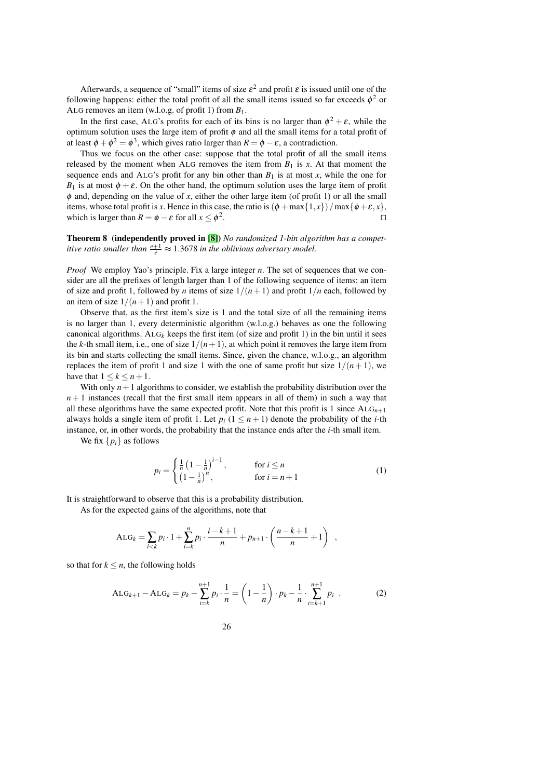Afterwards, a sequence of "small" items of size  $\varepsilon^2$  and profit  $\varepsilon$  is issued until one of the following happens: either the total profit of all the small items issued so far exceeds  $\phi^2$  or ALG removes an item (w.l.o.g. of profit 1) from *B*1.

In the first case, ALG's profits for each of its bins is no larger than  $\phi^2 + \varepsilon$ , while the optimum solution uses the large item of profit  $\phi$  and all the small items for a total profit of at least  $\phi + \phi^2 = \phi^3$ , which gives ratio larger than  $R = \phi - \varepsilon$ , a contradiction.

Thus we focus on the other case: suppose that the total profit of all the small items released by the moment when ALG removes the item from  $B_1$  is  $x$ . At that moment the sequence ends and ALG's profit for any bin other than  $B_1$  is at most  $x$ , while the one for *B*<sub>1</sub> is at most  $\phi + \varepsilon$ . On the other hand, the optimum solution uses the large item of profit φ and, depending on the value of *x*, either the other large item (of profit 1) or all the small items, whose total profit is *x*. Hence in this case, the ratio is  $(\phi + \max\{1, x\})/\max\{\phi + \varepsilon, x\}$ , which is larger than  $R = \phi - \varepsilon$  for all  $x \le \phi^2$ . **In the case of the contract of the contract of the contract of the contract of the contract of the contract of the contract of the contract of the contract of the contract of the contract of the contract of the contract** 

<span id="page-25-0"></span>Theorem 8 (independently proved in [\[8\]](#page-32-12)) *No randomized 1-bin algorithm has a competitive ratio smaller than*  $\frac{e+1}{e} \approx 1.3678$  *in the oblivious adversary model.* 

*Proof* We employ Yao's principle. Fix a large integer *n*. The set of sequences that we consider are all the prefixes of length larger than 1 of the following sequence of items: an item of size and profit 1, followed by *n* items of size  $1/(n+1)$  and profit  $1/n$  each, followed by an item of size  $1/(n+1)$  and profit 1.

Observe that, as the first item's size is 1 and the total size of all the remaining items is no larger than 1, every deterministic algorithm (w.l.o.g.) behaves as one the following canonical algorithms. ALG<sub>k</sub> keeps the first item (of size and profit 1) in the bin until it sees the *k*-th small item, i.e., one of size  $1/(n+1)$ , at which point it removes the large item from its bin and starts collecting the small items. Since, given the chance, w.l.o.g., an algorithm replaces the item of profit 1 and size 1 with the one of same profit but size  $1/(n+1)$ , we have that  $1 \leq k \leq n+1$ .

With only  $n+1$  algorithms to consider, we establish the probability distribution over the  $n+1$  instances (recall that the first small item appears in all of them) in such a way that all these algorithms have the same expected profit. Note that this profit is 1 since  $ALG_{n+1}$ always holds a single item of profit 1. Let  $p_i$  ( $1 \leq n+1$ ) denote the probability of the *i*-th instance, or, in other words, the probability that the instance ends after the *i*-th small item.

We fix  $\{p_i\}$  as follows

<span id="page-25-1"></span>
$$
p_i = \begin{cases} \frac{1}{n} \left( 1 - \frac{1}{n} \right)^{i-1}, & \text{for } i \le n \\ \left( 1 - \frac{1}{n} \right)^n, & \text{for } i = n+1 \end{cases} \tag{1}
$$

It is straightforward to observe that this is a probability distribution.

As for the expected gains of the algorithms, note that

$$
ALG_k = \sum_{i < k} p_i \cdot 1 + \sum_{i = k}^n p_i \cdot \frac{i - k + 1}{n} + p_{n+1} \cdot \left(\frac{n - k + 1}{n} + 1\right) ,
$$

so that for  $k \leq n$ , the following holds

<span id="page-25-2"></span>
$$
ALG_{k+1} - ALG_k = p_k - \sum_{i=k}^{n+1} p_i \cdot \frac{1}{n} = \left(1 - \frac{1}{n}\right) \cdot p_k - \frac{1}{n} \cdot \sum_{i=k+1}^{n+1} p_i \tag{2}
$$

26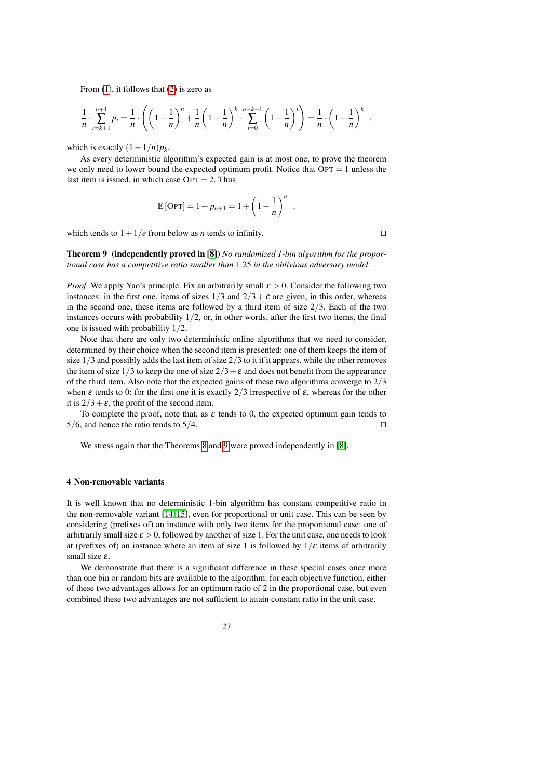From [\(1\)](#page-25-1), it follows that [\(2\)](#page-25-2) is zero as

$$
\frac{1}{n} \cdot \sum_{i=k+1}^{n+1} p_i = \frac{1}{n} \cdot \left( \left( 1 - \frac{1}{n} \right)^n + \frac{1}{n} \left( 1 - \frac{1}{n} \right)^k \cdot \sum_{i=0}^{n-k-1} \left( 1 - \frac{1}{n} \right)^i \right) = \frac{1}{n} \cdot \left( 1 - \frac{1}{n} \right)^k ,
$$

which is exactly  $(1 - 1/n)p_k$ .

As every deterministic algorithm's expected gain is at most one, to prove the theorem we only need to lower bound the expected optimum profit. Notice that  $\overline{OPT} = 1$  unless the last item is issued, in which case  $\text{OPT} = 2$ . Thus

$$
\mathbb{E}[OPT] = 1 + p_{n+1} = 1 + \left(1 - \frac{1}{n}\right)^n,
$$

which tends to  $1+1/e$  from below as *n* tends to infinity.

<span id="page-26-0"></span>Theorem 9 (independently proved in [\[8\]](#page-32-12)) *No randomized 1-bin algorithm for the proportional case has a competitive ratio smaller than* 1.25 *in the oblivious adversary model.*

*Proof* We apply Yao's principle. Fix an arbitrarily small  $\varepsilon > 0$ . Consider the following two instances: in the first one, items of sizes  $1/3$  and  $2/3 + \varepsilon$  are given, in this order, whereas in the second one, these items are followed by a third item of size  $2/3$ . Each of the two instances occurs with probability  $1/2$ , or, in other words, after the first two items, the final one is issued with probability 1/2.

Note that there are only two deterministic online algorithms that we need to consider, determined by their choice when the second item is presented: one of them keeps the item of size  $1/3$  and possibly adds the last item of size  $2/3$  to it if it appears, while the other removes the item of size  $1/3$  to keep the one of size  $2/3 + \varepsilon$  and does not benefit from the appearance of the third item. Also note that the expected gains of these two algorithms converge to  $2/3$ when  $\varepsilon$  tends to 0: for the first one it is exactly 2/3 irrespective of  $\varepsilon$ , whereas for the other it is  $2/3 + \varepsilon$ , the profit of the second item.

To complete the proof, note that, as  $\varepsilon$  tends to 0, the expected optimum gain tends to 5/6, and hence the ratio tends to 5/4.

We stress again that the Theorems [8](#page-25-0) and [9](#page-26-0) were proved independently in [\[8\]](#page-32-12).

#### 4 Non-removable variants

It is well known that no deterministic 1-bin algorithm has constant competitive ratio in the non-removable variant [\[14,](#page-32-9) [15\]](#page-32-6), even for proportional or unit case. This can be seen by considering (prefixes of) an instance with only two items for the proportional case: one of arbitrarily small size  $\varepsilon > 0$ , followed by another of size 1. For the unit case, one needs to look at (prefixes of) an instance where an item of size 1 is followed by  $1/\varepsilon$  items of arbitrarily small size ε.

We demonstrate that there is a significant difference in these special cases once more than one bin or random bits are available to the algorithm: for each objective function, either of these two advantages allows for an optimum ratio of 2 in the proportional case, but even combined these two advantages are not sufficient to attain constant ratio in the unit case.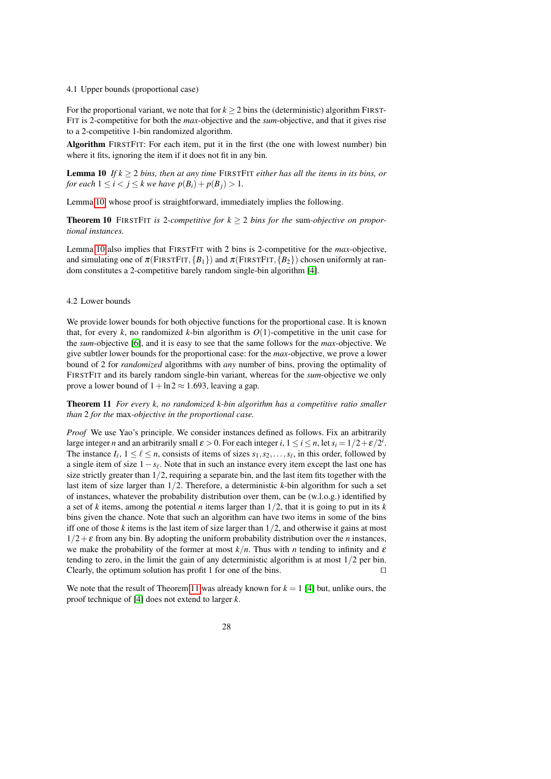#### 4.1 Upper bounds (proportional case)

For the proportional variant, we note that for  $k \ge 2$  bins the (deterministic) algorithm FIRST-FIT is 2-competitive for both the *max*-objective and the *sum*-objective, and that it gives rise to a 2-competitive 1-bin randomized algorithm.

Algorithm FIRSTFIT: For each item, put it in the first (the one with lowest number) bin where it fits, ignoring the item if it does not fit in any bin.

<span id="page-27-3"></span>**Lemma 10** If  $k \geq 2$  bins, then at any time FIRSTFIT either has all the items in its bins, or *for each*  $1 \le i \le j \le k$  *we have*  $p(B_i) + p(B_j) > 1$ *.* 

<span id="page-27-1"></span>Lemma [10,](#page-27-3) whose proof is straightforward, immediately implies the following.

**Theorem 10** FIRSTFIT is 2-competitive for  $k \geq 2$  bins for the sum-objective on propor*tional instances.*

Lemma [10](#page-27-3) also implies that FIRSTFIT with 2 bins is 2-competitive for the *max*-objective, and simulating one of  $\pi$ (FIRSTFIT, {*B*<sub>1</sub>}) and  $\pi$ (FIRSTFIT, {*B*<sub>2</sub>}) chosen uniformly at random constitutes a 2-competitive barely random single-bin algorithm [\[4\]](#page-32-10).

#### 4.2 Lower bounds

We provide lower bounds for both objective functions for the proportional case. It is known that, for every  $k$ , no randomized  $k$ -bin algorithm is  $O(1)$ -competitive in the unit case for the *sum*-objective [\[6\]](#page-32-1), and it is easy to see that the same follows for the *max*-objective. We give subtler lower bounds for the proportional case: for the *max*-objective, we prove a lower bound of 2 for *randomized* algorithms with *any* number of bins, proving the optimality of FIRSTFIT and its barely random single-bin variant, whereas for the *sum*-objective we only prove a lower bound of  $1 + \ln 2 \approx 1.693$ , leaving a gap.

## <span id="page-27-0"></span>Theorem 11 *For every k, no randomized k-bin algorithm has a competitive ratio smaller than* 2 *for the* max*-objective in the proportional case.*

*Proof* We use Yao's principle. We consider instances defined as follows. Fix an arbitrarily large integer *n* and an arbitrarily small  $\varepsilon > 0$ . For each integer *i*,  $1 \le i \le n$ , let  $s_i = 1/2 + \varepsilon/2^i$ . The instance  $I_\ell$ ,  $1 \leq \ell \leq n$ , consists of items of sizes  $s_1, s_2, \ldots, s_\ell$ , in this order, followed by a single item of size  $1 - s_\ell$ . Note that in such an instance every item except the last one has size strictly greater than  $1/2$ , requiring a separate bin, and the last item fits together with the last item of size larger than 1/2. Therefore, a deterministic *k*-bin algorithm for such a set of instances, whatever the probability distribution over them, can be (w.l.o.g.) identified by a set of *k* items, among the potential *n* items larger than 1/2, that it is going to put in its *k* bins given the chance. Note that such an algorithm can have two items in some of the bins iff one of those  $k$  items is the last item of size larger than  $1/2$ , and otherwise it gains at most  $1/2 + \varepsilon$  from any bin. By adopting the uniform probability distribution over the *n* instances, we make the probability of the former at most  $k/n$ . Thus with *n* tending to infinity and  $\varepsilon$ tending to zero, in the limit the gain of any deterministic algorithm is at most  $1/2$  per bin. Clearly, the optimum solution has profit 1 for one of the bins.  $\Box$ 

<span id="page-27-2"></span>We note that the result of Theorem [11](#page-27-0) was already known for  $k = 1$  [\[4\]](#page-32-10) but, unlike ours, the proof technique of [\[4\]](#page-32-10) does not extend to larger *k*.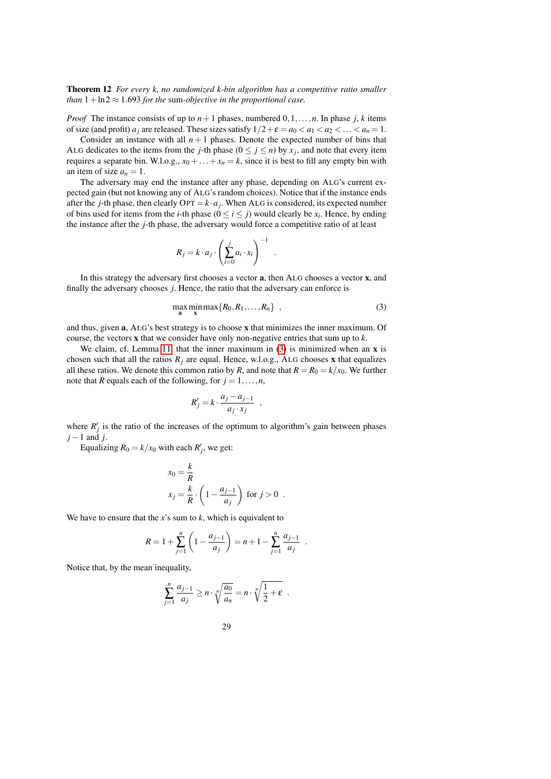Theorem 12 *For every k, no randomized k-bin algorithm has a competitive ratio smaller than*  $1 + \ln 2 \approx 1.693$  *for the sum-objective in the proportional case.* 

*Proof* The instance consists of up to  $n+1$  phases, numbered  $0,1,\ldots,n$ . In phase *j*, *k* items of size (and profit)  $a_j$  are released. These sizes satisfy  $1/2 + \varepsilon = a_0 < a_1 < a_2 < \ldots < a_n = 1$ .

Consider an instance with all  $n+1$  phases. Denote the expected number of bins that ALG dedicates to the items from the *j*-th phase  $(0 \le j \le n)$  by  $x_j$ , and note that every item requires a separate bin. W.l.o.g.,  $x_0 + \ldots + x_n = k$ , since it is best to fill any empty bin with an item of size  $a_n = 1$ .

The adversary may end the instance after any phase, depending on ALG's current expected gain (but not knowing any of ALG's random choices). Notice that if the instance ends after the *j*-th phase, then clearly  $\text{OPT} = k \cdot a_j$ . When ALG is considered, its expected number of bins used for items from the *i*-th phase  $(0 \le i \le j)$  would clearly be  $x_i$ . Hence, by ending the instance after the *j*-th phase, the adversary would force a competitive ratio of at least

$$
R_j = k \cdot a_j \cdot \left(\sum_{i=0}^j a_i \cdot x_i\right)^{-1}
$$

In this strategy the adversary first chooses a vector a, then ALG chooses a vector x, and finally the adversary chooses *j*. Hence, the ratio that the adversary can enforce is

<span id="page-28-0"></span>
$$
\max_{\mathbf{a}} \min_{\mathbf{x}} \max\{R_0, R_1, \dots, R_n\} \quad , \tag{3}
$$

.

and thus, given a, ALG's best strategy is to choose x that minimizes the inner maximum. Of course, the vectors x that we consider have only non-negative entries that sum up to *k*.

We claim, cf. Lemma [11,](#page-29-1) that the inner maximum in [\(3\)](#page-28-0) is minimized when an x is chosen such that all the ratios  $R_i$  are equal. Hence, w.l.o.g., ALG chooses x that equalizes all these ratios. We denote this common ratio by *R*, and note that  $R = R_0 = k/x_0$ . We further note that *R* equals each of the following, for  $j = 1, \ldots, n$ ,

$$
R'_j = k \cdot \frac{a_j - a_{j-1}}{a_j \cdot x_j} \enspace ,
$$

where  $R'_j$  is the ratio of the increases of the optimum to algorithm's gain between phases *j* −1 and *j*.

Equalizing  $R_0 = k/x_0$  with each  $R'_j$ , we get:

$$
x_0 = \frac{k}{R}
$$
  

$$
x_j = \frac{k}{R} \cdot \left(1 - \frac{a_{j-1}}{a_j}\right) \text{ for } j > 0.
$$

We have to ensure that the *x*'s sum to *k*, which is equivalent to

$$
R = 1 + \sum_{j=1}^{n} \left( 1 - \frac{a_{j-1}}{a_j} \right) = n + 1 - \sum_{j=1}^{n} \frac{a_{j-1}}{a_j} .
$$

Notice that, by the mean inequality,

$$
\sum_{j=1}^n \frac{a_{j-1}}{a_j} \ge n \cdot \sqrt[n]{\frac{a_0}{a_n}} = n \cdot \sqrt[n]{\frac{1}{2} + \varepsilon} .
$$

29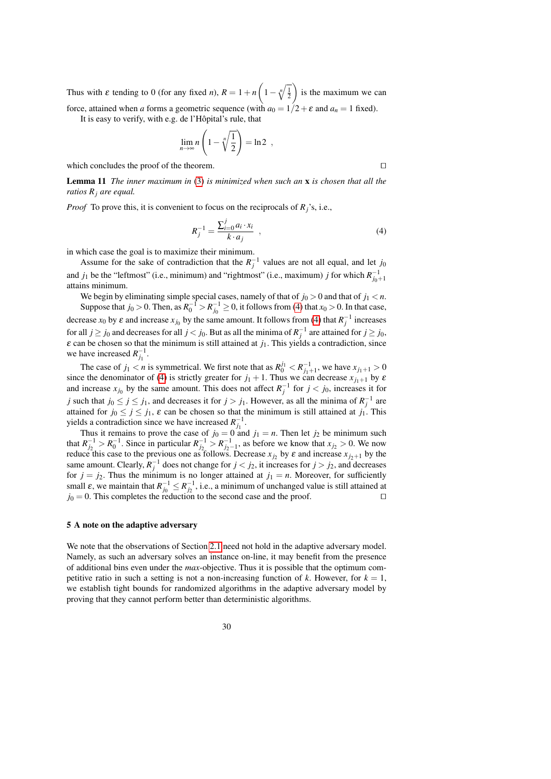Thus with  $\varepsilon$  tending to 0 (for any fixed *n*),  $R = 1 + n \left(1 - \sqrt[n]{\frac{1}{2}}\right)$  $\int$  is the maximum we can force, attained when *a* forms a geometric sequence (with  $a_0 = 1/2 + \varepsilon$  and  $a_n = 1$  fixed).

It is easy to verify, with e.g. de l'Hôpital's rule, that

$$
\lim_{n\to\infty} n\left(1-\sqrt[n]{\frac{1}{2}}\right) = \ln 2 ,
$$

which concludes the proof of the theorem.  $\Box$ 

<span id="page-29-1"></span>Lemma 11 *The inner maximum in* [\(3\)](#page-28-0) *is minimized when such an* x *is chosen that all the ratios R<sup>j</sup> are equal.*

*Proof* To prove this, it is convenient to focus on the reciprocals of  $R_i$ 's, i.e.,

<span id="page-29-2"></span>
$$
R_j^{-1} = \frac{\sum_{i=0}^{j} a_i \cdot x_i}{k \cdot a_j} \quad , \tag{4}
$$

in which case the goal is to maximize their minimum.

Assume for the sake of contradiction that the  $R_j^{-1}$  values are not all equal, and let *j*<sub>0</sub> and  $j_1$  be the "leftmost" (i.e., minimum) and "rightmost" (i.e., maximum) *j* for which  $R_{j_0+1}^{-1}$ attains minimum.

We begin by eliminating simple special cases, namely of that of  $j_0 > 0$  and that of  $j_1 < n$ . Suppose that *j*<sup>0</sup> > 0. Then, as  $R_0^{-1} > R_{j_0}^{-1} \ge 0$ , it follows from [\(4\)](#page-29-2) that *x*<sup>0</sup> > 0. In that case, decrease *x*<sub>0</sub> by  $\varepsilon$  and increase *x*<sub>*j*0</sub> by the same amount. It follows from [\(4\)](#page-29-2) that  $R_j^{-1}$  increases for all *j*  $\geq$  *j*<sub>0</sub> and decreases for all *j* < *j*<sub>0</sub>. But as all the minima of  $R_j^{-1}$  are attained for *j*  $\geq$  *j*<sub>0</sub>,  $\varepsilon$  can be chosen so that the minimum is still attained at  $j_1$ . This yields a contradiction, since we have increased  $R_{j_1}^{-1}$ .

The case of *j*<sub>1</sub> < *n* is symmetrical. We first note that as  $R_0^{j_1} < R_{j_1+1}^{-1}$ , we have  $x_{j_1+1} > 0$ since the denominator of [\(4\)](#page-29-2) is strictly greater for  $j_1 + 1$ . Thus we can decrease  $x_{j_1+1}$  by  $\varepsilon$ and increase  $x_{j_0}$  by the same amount. This does not affect  $R_j^{-1}$  for  $j < j_0$ , increases it for *j* such that  $j_0 \le j \le j_1$ , and decreases it for  $j > j_1$ . However, as all the minima of  $R_j^{-1}$  are attained for  $j_0 \leq j \leq j_1$ ,  $\varepsilon$  can be chosen so that the minimum is still attained at  $j_1$ . This yields a contradiction since we have increased  $R_{i_1}^{-1}$ .

Thus it remains to prove the case of  $j_0 = 0$  and  $j_1 = n$ . Then let  $j_2$  be minimum such that  $R_{j_2}^{-1} > R_0^{-1}$ . Since in particular  $R_{j_2}^{-1} > R_{j_2-1}^{-1}$ , as before we know that  $x_{j_2} > 0$ . We now reduce this case to the previous one as follows. Decrease  $x_{j_2}$  by  $\varepsilon$  and increase  $x_{j_2+1}$  by the same amount. Clearly,  $R_j^{-1}$  does not change for  $j < j_2$ , it increases for  $j > j_2$ , and decreases for  $j = j_2$ . Thus the minimum is no longer attained at  $j_1 = n$ . Moreover, for sufficiently small  $\varepsilon$ , we maintain that  $R^{-1}_{j_0} \le R^{-1}_{j_2}$ , i.e., a minimum of unchanged value is still attained at  $j_0 = 0$ . This completes the reduction to the second case and the proof.

## 5 A note on the adaptive adversary

<span id="page-29-0"></span>We note that the observations of Section [2.1](#page-3-0) need not hold in the adaptive adversary model. Namely, as such an adversary solves an instance on-line, it may benefit from the presence of additional bins even under the *max*-objective. Thus it is possible that the optimum competitive ratio in such a setting is not a non-increasing function of  $k$ . However, for  $k = 1$ , we establish tight bounds for randomized algorithms in the adaptive adversary model by proving that they cannot perform better than deterministic algorithms.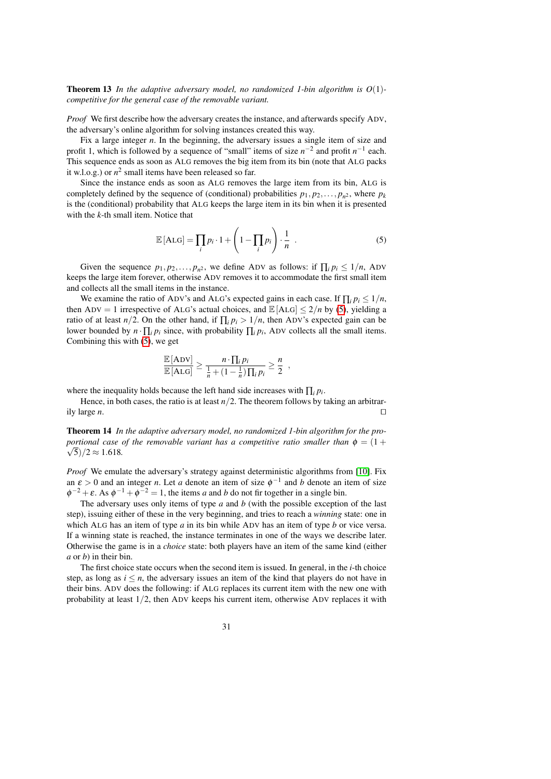Theorem 13 *In the adaptive adversary model, no randomized 1-bin algorithm is O*(1) *competitive for the general case of the removable variant.*

*Proof* We first describe how the adversary creates the instance, and afterwards specify ADV, the adversary's online algorithm for solving instances created this way.

Fix a large integer *n*. In the beginning, the adversary issues a single item of size and profit 1, which is followed by a sequence of "small" items of size  $n^{-2}$  and profit  $n^{-1}$  each. This sequence ends as soon as ALG removes the big item from its bin (note that ALG packs it w.l.o.g.) or  $n^2$  small items have been released so far.

Since the instance ends as soon as ALG removes the large item from its bin, ALG is completely defined by the sequence of (conditional) probabilities  $p_1, p_2, \ldots, p_{n^2}$ , where  $p_k$ is the (conditional) probability that ALG keeps the large item in its bin when it is presented with the *k*-th small item. Notice that

<span id="page-30-1"></span>
$$
\mathbb{E}\left[\text{ALG}\right] = \prod_{i} p_i \cdot 1 + \left(1 - \prod_{i} p_i\right) \cdot \frac{1}{n} \tag{5}
$$

Given the sequence  $p_1, p_2, \ldots, p_n$ <sup>2</sup>, we define ADV as follows: if  $\prod_i p_i \leq 1/n$ , ADV keeps the large item forever, otherwise ADV removes it to accommodate the first small item and collects all the small items in the instance.

We examine the ratio of ADV's and ALG's expected gains in each case. If  $\prod_i p_i \leq 1/n$ , then ADV = 1 irrespective of ALG's actual choices, and  $\mathbb{E}[ALG] \leq 2/n$  by [\(5\)](#page-30-1), yielding a ratio of at least  $n/2$ . On the other hand, if  $\prod_i p_i > 1/n$ , then ADV's expected gain can be lower bounded by  $n \cdot \prod_i p_i$  since, with probability  $\prod_i p_i$ , ADV collects all the small items. Combining this with [\(5\)](#page-30-1), we get

$$
\frac{\mathbb{E}[\text{ADV}]}{\mathbb{E}[\text{ALG}]} \ge \frac{n \cdot \prod_i p_i}{\frac{1}{n} + (1 - \frac{1}{n}) \prod_i p_i} \ge \frac{n}{2} ,
$$

where the inequality holds because the left hand side increases with  $\prod_i p_i$ .

Hence, in both cases, the ratio is at least  $n/2$ . The theorem follows by taking an arbitrarily large *n*.

<span id="page-30-0"></span>Theorem 14 *In the adaptive adversary model, no randomized 1-bin algorithm for the pro portional case of the removable variant has a competitive ratio smaller than* φ = (1 +  $\sqrt{5}$ /2  $\approx$  1.618*.* 

*Proof* We emulate the adversary's strategy against deterministic algorithms from [\[10\]](#page-32-2). Fix an  $\varepsilon > 0$  and an integer *n*. Let *a* denote an item of size  $\phi^{-1}$  and *b* denote an item of size  $\phi^{-2} + \varepsilon$ . As  $\phi^{-1} + \phi^{-2} = 1$ , the items *a* and *b* do not fir together in a single bin.

The adversary uses only items of type *a* and *b* (with the possible exception of the last step), issuing either of these in the very beginning, and tries to reach a *winning* state: one in which ALG has an item of type *a* in its bin while ADV has an item of type *b* or vice versa. If a winning state is reached, the instance terminates in one of the ways we describe later. Otherwise the game is in a *choice* state: both players have an item of the same kind (either *a* or *b*) in their bin.

The first choice state occurs when the second item is issued. In general, in the *i*-th choice step, as long as  $i \le n$ , the adversary issues an item of the kind that players do not have in their bins. ADV does the following: if ALG replaces its current item with the new one with probability at least  $1/2$ , then ADV keeps his current item, otherwise ADV replaces it with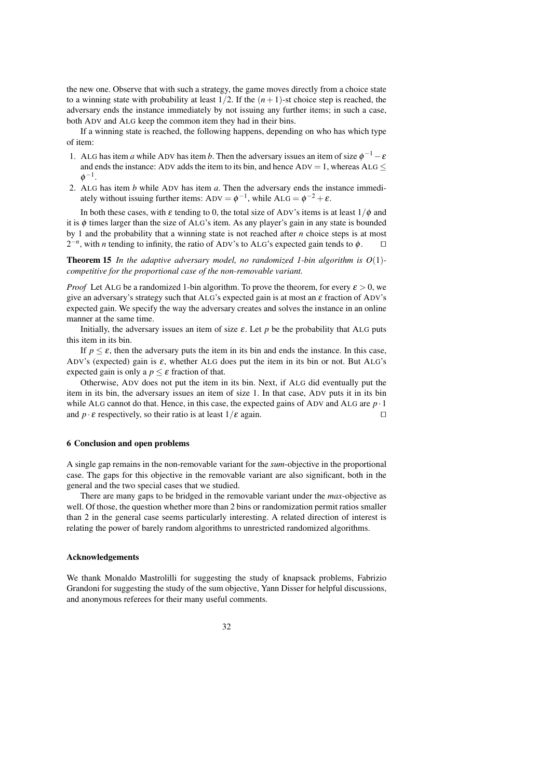the new one. Observe that with such a strategy, the game moves directly from a choice state to a winning state with probability at least  $1/2$ . If the  $(n+1)$ -st choice step is reached, the adversary ends the instance immediately by not issuing any further items; in such a case, both ADV and ALG keep the common item they had in their bins.

If a winning state is reached, the following happens, depending on who has which type of item:

- 1. ALG has item *a* while ADV has item *b*. Then the adversary issues an item of size  $\phi^{-1} \varepsilon$ and ends the instance: ADV adds the item to its bin, and hence  $ADV = 1$ , whereas ALG  $\leq$  $\phi^{-1}$ .
- 2. ALG has item *b* while ADV has item *a*. Then the adversary ends the instance immediately without issuing further items:  $ADV = \phi^{-1}$ , while  $ALG = \phi^{-2} + \varepsilon$ .

In both these cases, with  $\varepsilon$  tending to 0, the total size of ADV's items is at least  $1/\phi$  and it is  $\phi$  times larger than the size of ALG's item. As any player's gain in any state is bounded by 1 and the probability that a winning state is not reached after *n* choice steps is at most  $2^{-n}$ , with *n* tending to infinity, the ratio of ADV's to ALG's expected gain tends to  $\phi$ . □

Theorem 15 *In the adaptive adversary model, no randomized 1-bin algorithm is O*(1) *competitive for the proportional case of the non-removable variant.*

*Proof* Let ALG be a randomized 1-bin algorithm. To prove the theorem, for every  $\varepsilon > 0$ , we give an adversary's strategy such that ALG's expected gain is at most an ε fraction of ADV's expected gain. We specify the way the adversary creates and solves the instance in an online manner at the same time.

Initially, the adversary issues an item of size  $\varepsilon$ . Let  $p$  be the probability that ALG puts this item in its bin.

If  $p \leq \varepsilon$ , then the adversary puts the item in its bin and ends the instance. In this case, ADV's (expected) gain is  $\varepsilon$ , whether ALG does put the item in its bin or not. But ALG's expected gain is only a  $p \leq \varepsilon$  fraction of that.

Otherwise, ADV does not put the item in its bin. Next, if ALG did eventually put the item in its bin, the adversary issues an item of size 1. In that case, ADV puts it in its bin while ALG cannot do that. Hence, in this case, the expected gains of ADV and ALG are *p* · 1 and  $p \cdot \varepsilon$  respectively, so their ratio is at least  $1/\varepsilon$  again.

#### 6 Conclusion and open problems

A single gap remains in the non-removable variant for the *sum*-objective in the proportional case. The gaps for this objective in the removable variant are also significant, both in the general and the two special cases that we studied.

There are many gaps to be bridged in the removable variant under the *max*-objective as well. Of those, the question whether more than 2 bins or randomization permit ratios smaller than 2 in the general case seems particularly interesting. A related direction of interest is relating the power of barely random algorithms to unrestricted randomized algorithms.

#### Acknowledgements

We thank Monaldo Mastrolilli for suggesting the study of knapsack problems, Fabrizio Grandoni for suggesting the study of the sum objective, Yann Disser for helpful discussions, and anonymous referees for their many useful comments.